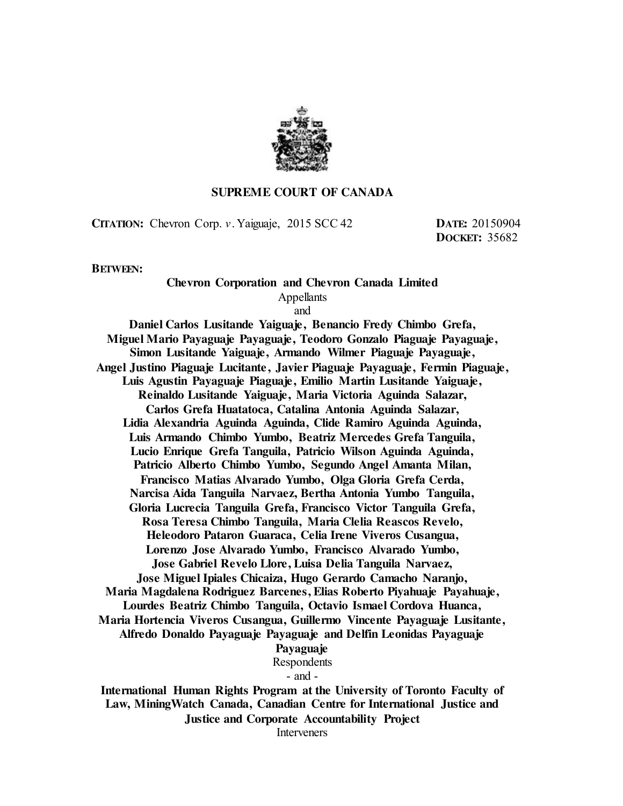

#### **SUPREME COURT OF CANADA**

**CITATION:** Chevron Corp. *v.* Yaiguaje, 2015 SCC 42 **DATE:** 20150904

**DOCKET:** 35682

**BETWEEN:**

# **Chevron Corporation and Chevron Canada Limited** Appellants

and

**Daniel Carlos Lusitande Yaiguaje, Benancio Fredy Chimbo Grefa, Miguel Mario Payaguaje Payaguaje, Teodoro Gonzalo Piaguaje Payaguaje, Simon Lusitande Yaiguaje, Armando Wilmer Piaguaje Payaguaje, Angel Justino Piaguaje Lucitante, Javier Piaguaje Payaguaje, Fermin Piaguaje, Luis Agustin Payaguaje Piaguaje, Emilio Martin Lusitande Yaiguaje, Reinaldo Lusitande Yaiguaje, Maria Victoria Aguinda Salazar, Carlos Grefa Huatatoca, Catalina Antonia Aguinda Salazar, Lidia Alexandria Aguinda Aguinda, Clide Ramiro Aguinda Aguinda, Luis Armando Chimbo Yumbo, Beatriz Mercedes Grefa Tanguila, Lucio Enrique Grefa Tanguila, Patricio Wilson Aguinda Aguinda, Patricio Alberto Chimbo Yumbo, Segundo Angel Amanta Milan, Francisco Matias Alvarado Yumbo, Olga Gloria Grefa Cerda, Narcisa Aida Tanguila Narvaez, Bertha Antonia Yumbo Tanguila, Gloria Lucrecia Tanguila Grefa, Francisco Victor Tanguila Grefa, Rosa Teresa Chimbo Tanguila, Maria Clelia Reascos Revelo, Heleodoro Pataron Guaraca, Celia Irene Viveros Cusangua, Lorenzo Jose Alvarado Yumbo, Francisco Alvarado Yumbo, Jose Gabriel Revelo Llore, Luisa Delia Tanguila Narvaez, Jose Miguel Ipiales Chicaiza, Hugo Gerardo Camacho Naranjo, Maria Magdalena Rodriguez Barcenes, Elias Roberto Piyahuaje Payahuaje, Lourdes Beatriz Chimbo Tanguila, Octavio Ismael Cordova Huanca, Maria Hortencia Viveros Cusangua, Guillermo Vincente Payaguaje Lusitante, Alfredo Donaldo Payaguaje Payaguaje and Delfin Leonidas Payaguaje Payaguaje** Respondents - and - **International Human Rights Program at the University of Toronto Faculty of Law, MiningWatch Canada, Canadian Centre for International Justice and** 

**Justice and Corporate Accountability Project**

Interveners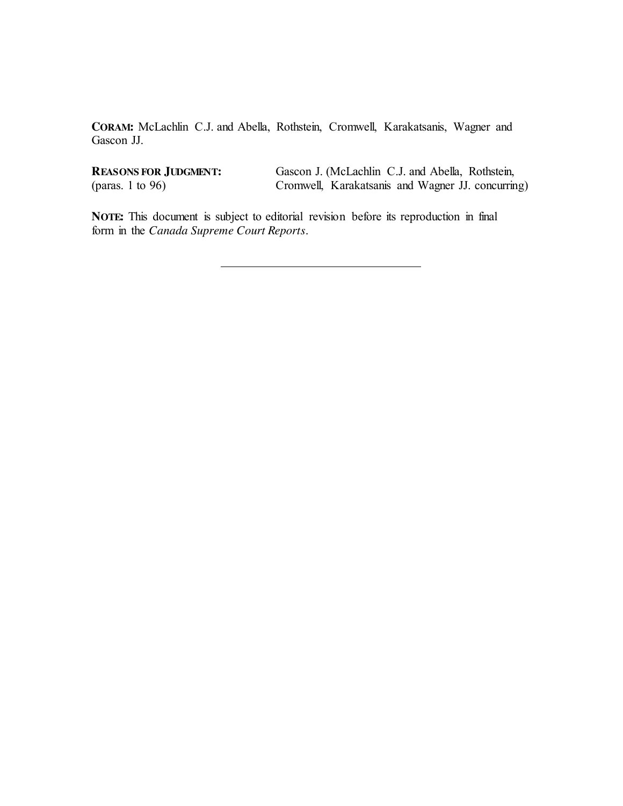**CORAM:** McLachlin C.J. and Abella, Rothstein, Cromwell, Karakatsanis, Wagner and Gascon JJ.

**REASONS FOR JUDGMENT:** (paras. 1 to 96)

Gascon J. (McLachlin C.J. and Abella, Rothstein, Cromwell, Karakatsanis and Wagner JJ. concurring)

**NOTE:** This document is subject to editorial revision before its reproduction in final form in the *Canada Supreme Court Reports*.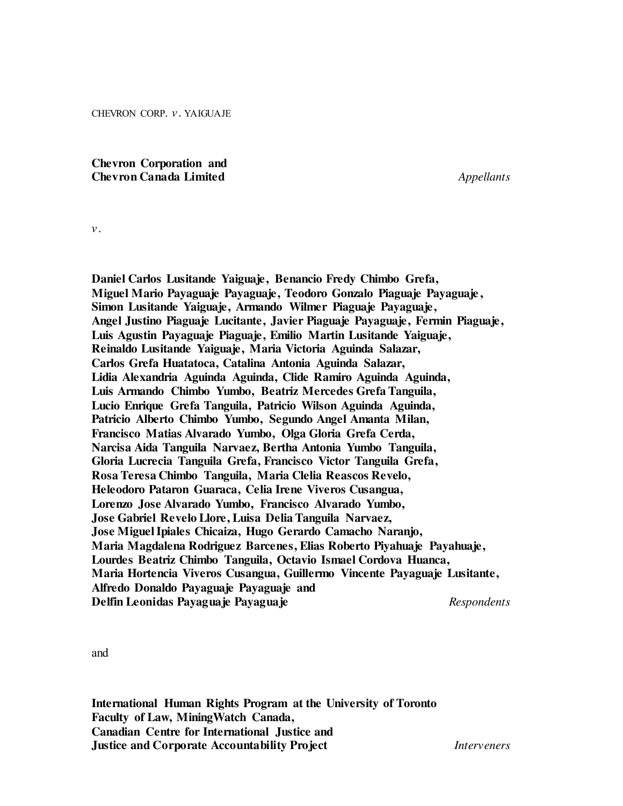CHEVRON CORP. *v.* YAIGUAJE

**Chevron Corporation and Chevron Canada Limited** *Appellants*

*v.*

**Daniel Carlos Lusitande Yaiguaje, Benancio Fredy Chimbo Grefa, Miguel Mario Payaguaje Payaguaje, Teodoro Gonzalo Piaguaje Payaguaje, Simon Lusitande Yaiguaje, Armando Wilmer Piaguaje Payaguaje, Angel Justino Piaguaje Lucitante, Javier Piaguaje Payaguaje, Fermin Piaguaje, Luis Agustin Payaguaje Piaguaje, Emilio Martin Lusitande Yaiguaje, Reinaldo Lusitande Yaiguaje, Maria Victoria Aguinda Salazar, Carlos Grefa Huatatoca, Catalina Antonia Aguinda Salazar, Lidia Alexandria Aguinda Aguinda, Clide Ramiro Aguinda Aguinda, Luis Armando Chimbo Yumbo, Beatriz Mercedes Grefa Tanguila, Lucio Enrique Grefa Tanguila, Patricio Wilson Aguinda Aguinda, Patricio Alberto Chimbo Yumbo, Segundo Angel Amanta Milan, Francisco Matias Alvarado Yumbo, Olga Gloria Grefa Cerda, Narcisa Aida Tanguila Narvaez, Bertha Antonia Yumbo Tanguila, Gloria Lucrecia Tanguila Grefa, Francisco Victor Tanguila Grefa, Rosa Teresa Chimbo Tanguila, Maria Clelia Reascos Revelo, Heleodoro Pataron Guaraca, Celia Irene Viveros Cusangua, Lorenzo Jose Alvarado Yumbo, Francisco Alvarado Yumbo, Jose Gabriel Revelo Llore, Luisa Delia Tanguila Narvaez, Jose Miguel Ipiales Chicaiza, Hugo Gerardo Camacho Naranjo, Maria Magdalena Rodriguez Barcenes, Elias Roberto Piyahuaje Payahuaje, Lourdes Beatriz Chimbo Tanguila, Octavio Ismael Cordova Huanca, Maria Hortencia Viveros Cusangua, Guillermo Vincente Payaguaje Lusitante, Alfredo Donaldo Payaguaje Payaguaje and Delfin Leonidas Payaguaje Payaguaje** *Respondents*

and

**International Human Rights Program at the University of Toronto Faculty of Law, MiningWatch Canada, Canadian Centre for International Justice and Justice and Corporate Accountability Project** *Interveners*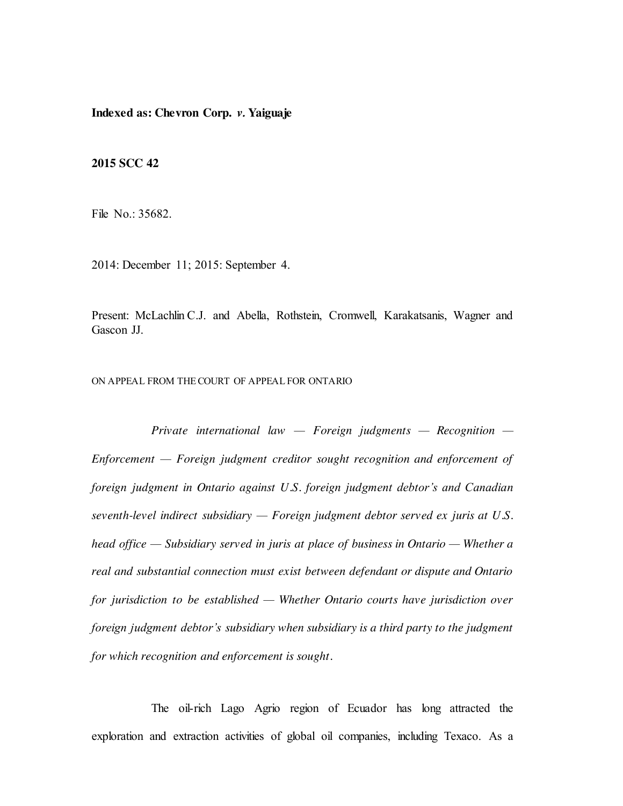**Indexed as: Chevron Corp.** *v.* **Yaiguaje**

**2015 SCC 42**

File No.: 35682.

2014: December 11; 2015: September 4.

Present: McLachlin C.J. and Abella, Rothstein, Cromwell, Karakatsanis, Wagner and Gascon JJ.

ON APPEAL FROM THECOURT OF APPEAL FOR ONTARIO

*Private international law — Foreign judgments — Recognition — Enforcement — Foreign judgment creditor sought recognition and enforcement of foreign judgment in Ontario against U.S. foreign judgment debtor's and Canadian seventh-level indirect subsidiary — Foreign judgment debtor served ex juris at U.S. head office — Subsidiary served in juris at place of business in Ontario — Whether a real and substantial connection must exist between defendant or dispute and Ontario for jurisdiction to be established — Whether Ontario courts have jurisdiction over foreign judgment debtor's subsidiary when subsidiary is a third party to the judgment for which recognition and enforcement is sought.*

The oil-rich Lago Agrio region of Ecuador has long attracted the exploration and extraction activities of global oil companies, including Texaco. As a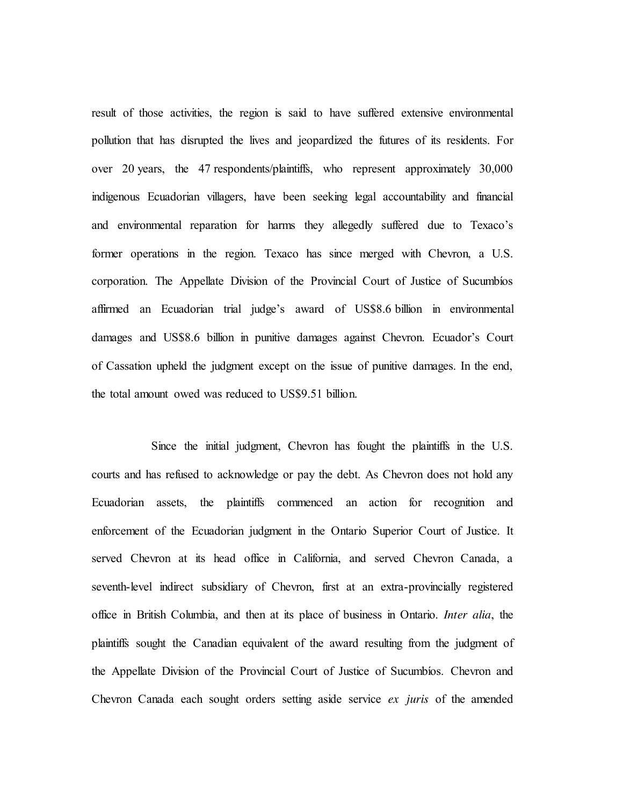result of those activities, the region is said to have suffered extensive environmental pollution that has disrupted the lives and jeopardized the futures of its residents. For over 20 years, the 47 respondents/plaintiffs, who represent approximately 30,000 indigenous Ecuadorian villagers, have been seeking legal accountability and financial and environmental reparation for harms they allegedly suffered due to Texaco's former operations in the region. Texaco has since merged with Chevron, a U.S. corporation. The Appellate Division of the Provincial Court of Justice of Sucumbíos affirmed an Ecuadorian trial judge's award of US\$8.6 billion in environmental damages and US\$8.6 billion in punitive damages against Chevron. Ecuador's Court of Cassation upheld the judgment except on the issue of punitive damages. In the end, the total amount owed was reduced to US\$9.51 billion.

Since the initial judgment, Chevron has fought the plaintiffs in the U.S. courts and has refused to acknowledge or pay the debt. As Chevron does not hold any Ecuadorian assets, the plaintiffs commenced an action for recognition and enforcement of the Ecuadorian judgment in the Ontario Superior Court of Justice. It served Chevron at its head office in California, and served Chevron Canada, a seventh-level indirect subsidiary of Chevron, first at an extra-provincially registered office in British Columbia, and then at its place of business in Ontario. *Inter alia*, the plaintiffs sought the Canadian equivalent of the award resulting from the judgment of the Appellate Division of the Provincial Court of Justice of Sucumbíos. Chevron and Chevron Canada each sought orders setting aside service *ex juris* of the amended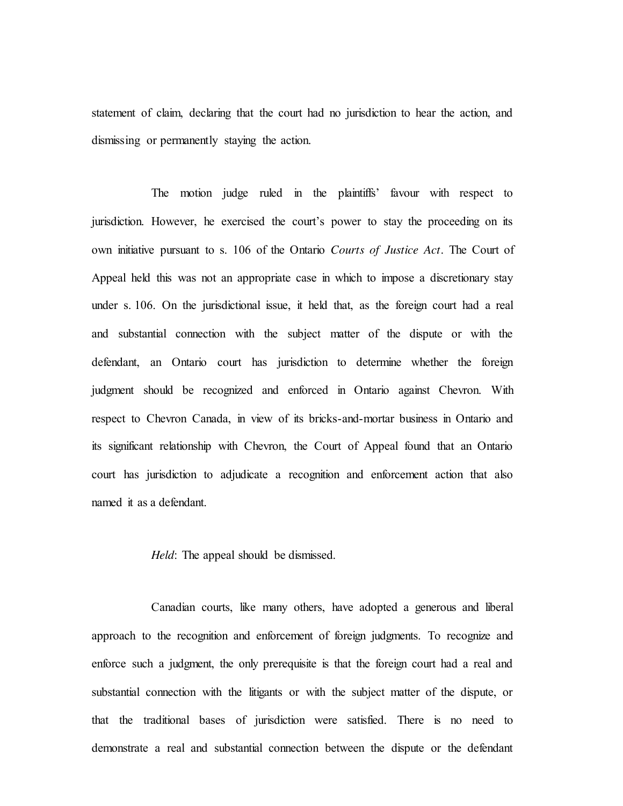statement of claim, declaring that the court had no jurisdiction to hear the action, and dismissing or permanently staying the action.

The motion judge ruled in the plaintiffs' favour with respect to jurisdiction. However, he exercised the court's power to stay the proceeding on its own initiative pursuant to s. 106 of the Ontario *Courts of Justice Act*. The Court of Appeal held this was not an appropriate case in which to impose a discretionary stay under s. 106. On the jurisdictional issue, it held that, as the foreign court had a real and substantial connection with the subject matter of the dispute or with the defendant, an Ontario court has jurisdiction to determine whether the foreign judgment should be recognized and enforced in Ontario against Chevron. With respect to Chevron Canada, in view of its bricks-and-mortar business in Ontario and its significant relationship with Chevron, the Court of Appeal found that an Ontario court has jurisdiction to adjudicate a recognition and enforcement action that also named it as a defendant.

*Held*: The appeal should be dismissed.

Canadian courts, like many others, have adopted a generous and liberal approach to the recognition and enforcement of foreign judgments. To recognize and enforce such a judgment, the only prerequisite is that the foreign court had a real and substantial connection with the litigants or with the subject matter of the dispute, or that the traditional bases of jurisdiction were satisfied. There is no need to demonstrate a real and substantial connection between the dispute or the defendant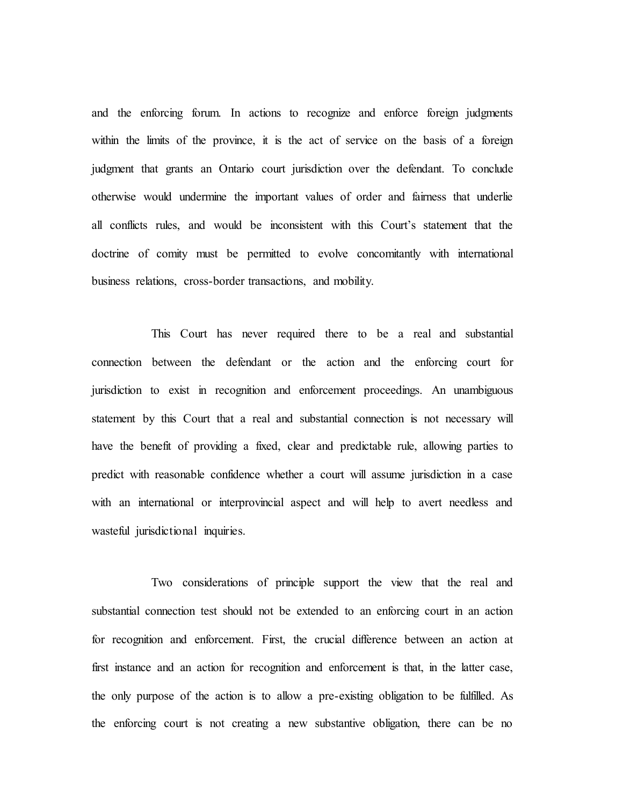and the enforcing forum. In actions to recognize and enforce foreign judgments within the limits of the province, it is the act of service on the basis of a foreign judgment that grants an Ontario court jurisdiction over the defendant. To conclude otherwise would undermine the important values of order and fairness that underlie all conflicts rules, and would be inconsistent with this Court's statement that the doctrine of comity must be permitted to evolve concomitantly with international business relations, cross-border transactions, and mobility.

This Court has never required there to be a real and substantial connection between the defendant or the action and the enforcing court for jurisdiction to exist in recognition and enforcement proceedings. An unambiguous statement by this Court that a real and substantial connection is not necessary will have the benefit of providing a fixed, clear and predictable rule, allowing parties to predict with reasonable confidence whether a court will assume jurisdiction in a case with an international or interprovincial aspect and will help to avert needless and wasteful jurisdictional inquiries.

Two considerations of principle support the view that the real and substantial connection test should not be extended to an enforcing court in an action for recognition and enforcement. First, the crucial difference between an action at first instance and an action for recognition and enforcement is that, in the latter case, the only purpose of the action is to allow a pre-existing obligation to be fulfilled. As the enforcing court is not creating a new substantive obligation, there can be no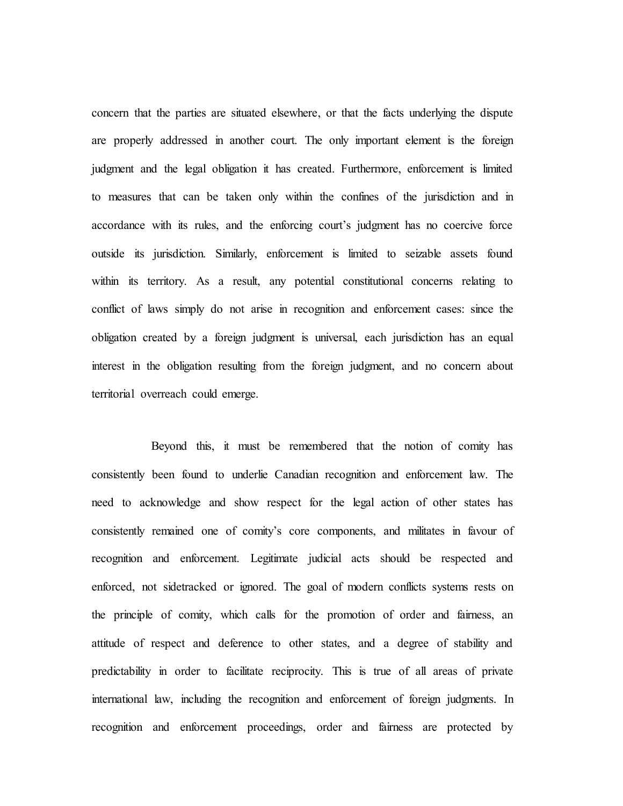concern that the parties are situated elsewhere, or that the facts underlying the dispute are properly addressed in another court. The only important element is the foreign judgment and the legal obligation it has created. Furthermore, enforcement is limited to measures that can be taken only within the confines of the jurisdiction and in accordance with its rules, and the enforcing court's judgment has no coercive force outside its jurisdiction. Similarly, enforcement is limited to seizable assets found within its territory. As a result, any potential constitutional concerns relating to conflict of laws simply do not arise in recognition and enforcement cases: since the obligation created by a foreign judgment is universal, each jurisdiction has an equal interest in the obligation resulting from the foreign judgment, and no concern about territorial overreach could emerge.

Beyond this, it must be remembered that the notion of comity has consistently been found to underlie Canadian recognition and enforcement law. The need to acknowledge and show respect for the legal action of other states has consistently remained one of comity's core components, and militates in favour of recognition and enforcement. Legitimate judicial acts should be respected and enforced, not sidetracked or ignored. The goal of modern conflicts systems rests on the principle of comity, which calls for the promotion of order and fairness, an attitude of respect and deference to other states, and a degree of stability and predictability in order to facilitate reciprocity. This is true of all areas of private international law, including the recognition and enforcement of foreign judgments. In recognition and enforcement proceedings, order and fairness are protected by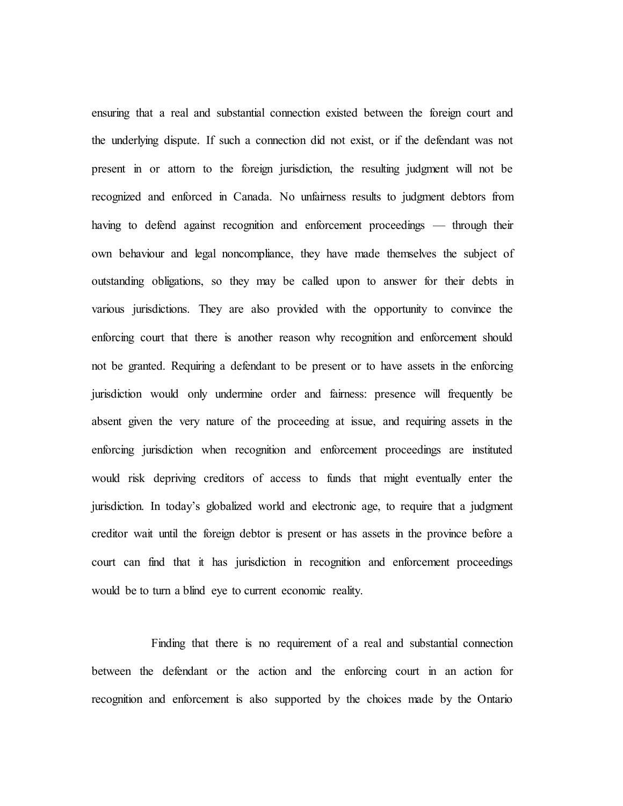ensuring that a real and substantial connection existed between the foreign court and the underlying dispute. If such a connection did not exist, or if the defendant was not present in or attorn to the foreign jurisdiction, the resulting judgment will not be recognized and enforced in Canada. No unfairness results to judgment debtors from having to defend against recognition and enforcement proceedings — through their own behaviour and legal noncompliance, they have made themselves the subject of outstanding obligations, so they may be called upon to answer for their debts in various jurisdictions. They are also provided with the opportunity to convince the enforcing court that there is another reason why recognition and enforcement should not be granted. Requiring a defendant to be present or to have assets in the enforcing jurisdiction would only undermine order and fairness: presence will frequently be absent given the very nature of the proceeding at issue, and requiring assets in the enforcing jurisdiction when recognition and enforcement proceedings are instituted would risk depriving creditors of access to funds that might eventually enter the jurisdiction. In today's globalized world and electronic age, to require that a judgment creditor wait until the foreign debtor is present or has assets in the province before a court can find that it has jurisdiction in recognition and enforcement proceedings would be to turn a blind eye to current economic reality.

Finding that there is no requirement of a real and substantial connection between the defendant or the action and the enforcing court in an action for recognition and enforcement is also supported by the choices made by the Ontario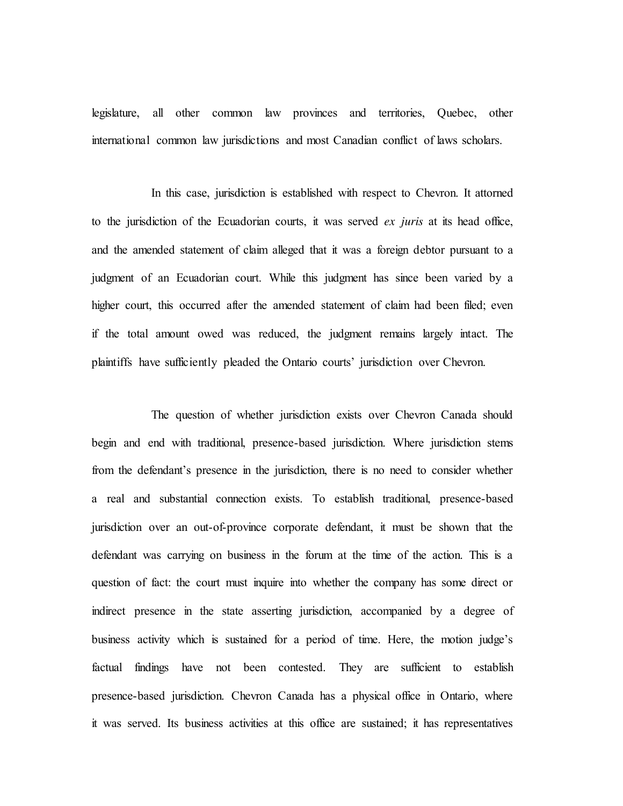legislature, all other common law provinces and territories, Quebec, other international common law jurisdictions and most Canadian conflict of laws scholars.

In this case, jurisdiction is established with respect to Chevron. It attorned to the jurisdiction of the Ecuadorian courts, it was served *ex juris* at its head office, and the amended statement of claim alleged that it was a foreign debtor pursuant to a judgment of an Ecuadorian court. While this judgment has since been varied by a higher court, this occurred after the amended statement of claim had been filed; even if the total amount owed was reduced, the judgment remains largely intact. The plaintiffs have sufficiently pleaded the Ontario courts' jurisdiction over Chevron.

The question of whether jurisdiction exists over Chevron Canada should begin and end with traditional, presence-based jurisdiction. Where jurisdiction stems from the defendant's presence in the jurisdiction, there is no need to consider whether a real and substantial connection exists. To establish traditional, presence-based jurisdiction over an out-of-province corporate defendant, it must be shown that the defendant was carrying on business in the forum at the time of the action. This is a question of fact: the court must inquire into whether the company has some direct or indirect presence in the state asserting jurisdiction, accompanied by a degree of business activity which is sustained for a period of time. Here, the motion judge's factual findings have not been contested. They are sufficient to establish presence-based jurisdiction. Chevron Canada has a physical office in Ontario, where it was served. Its business activities at this office are sustained; it has representatives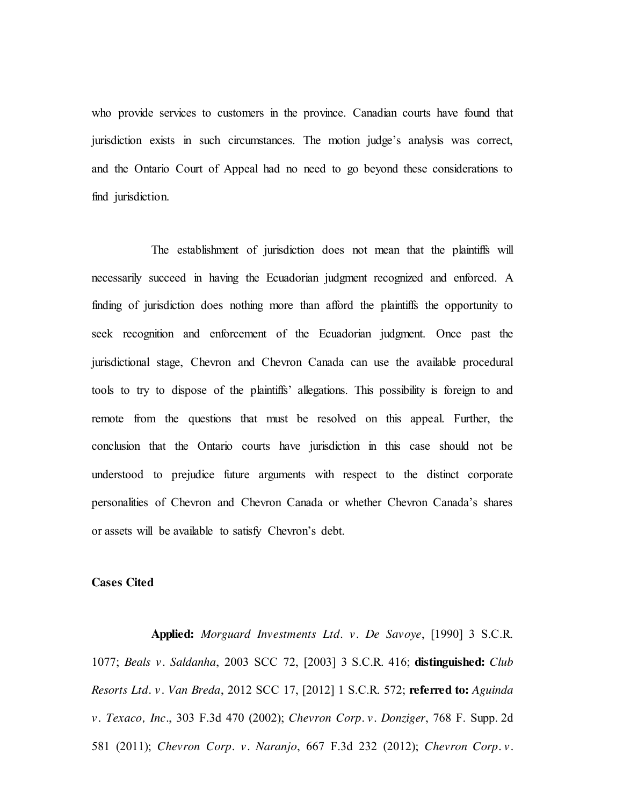who provide services to customers in the province. Canadian courts have found that jurisdiction exists in such circumstances. The motion judge's analysis was correct, and the Ontario Court of Appeal had no need to go beyond these considerations to find jurisdiction.

The establishment of jurisdiction does not mean that the plaintiffs will necessarily succeed in having the Ecuadorian judgment recognized and enforced. A finding of jurisdiction does nothing more than afford the plaintiffs the opportunity to seek recognition and enforcement of the Ecuadorian judgment. Once past the jurisdictional stage, Chevron and Chevron Canada can use the available procedural tools to try to dispose of the plaintiffs' allegations. This possibility is foreign to and remote from the questions that must be resolved on this appeal. Further, the conclusion that the Ontario courts have jurisdiction in this case should not be understood to prejudice future arguments with respect to the distinct corporate personalities of Chevron and Chevron Canada or whether Chevron Canada's shares or assets will be available to satisfy Chevron's debt.

#### **Cases Cited**

**Applied:** *Morguard Investments Ltd. v. De Savoye*, [1990] 3 S.C.R. 1077; *Beals v. Saldanha*, 2003 SCC 72, [2003] 3 S.C.R. 416; **distinguished:** *Club Resorts Ltd. v. Van Breda*, 2012 SCC 17, [2012] 1 S.C.R. 572; **referred to:** *Aguinda v. Texaco, Inc.*, 303 F.3d 470 (2002); *Chevron Corp. v. Donziger*, 768 F. Supp. 2d 581 (2011); *Chevron Corp. v. Naranjo*, 667 F.3d 232 (2012); *Chevron Corp. v.*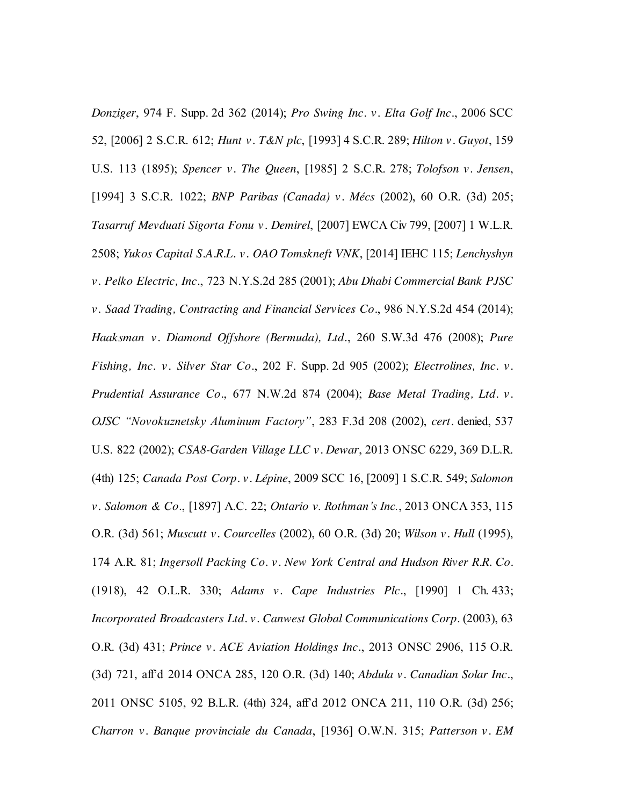*Donziger*, 974 F. Supp. 2d 362 (2014); *Pro Swing Inc. v. Elta Golf Inc.*, 2006 SCC 52, [2006] 2 S.C.R. 612; *Hunt v. T&N plc*, [1993] 4 S.C.R. 289; *Hilton v. Guyot*, 159 U.S. 113 (1895); *Spencer v. The Queen*, [1985] 2 S.C.R. 278; *Tolofson v. Jensen*, [1994] 3 S.C.R. 1022; *BNP Paribas (Canada) v. Mécs* (2002), 60 O.R. (3d) 205; *Tasarruf Mevduati Sigorta Fonu v. Demirel*, [2007] EWCA Civ 799, [2007] 1 W.L.R. 2508; *Yukos Capital S.A.R.L. v. OAO Tomskneft VNK*, [2014] IEHC 115; *Lenchyshyn v. Pelko Electric, Inc.*, 723 N.Y.S.2d 285 (2001); *Abu Dhabi Commercial Bank PJSC v. Saad Trading, Contracting and Financial Services Co.*, 986 N.Y.S.2d 454 (2014); *Haaksman v. Diamond Offshore (Bermuda), Ltd.*, 260 S.W.3d 476 (2008); *Pure Fishing, Inc. v. Silver Star Co.*, 202 F. Supp. 2d 905 (2002); *Electrolines, Inc. v. Prudential Assurance Co.*, 677 N.W.2d 874 (2004); *Base Metal Trading, Ltd. v. OJSC "Novokuznetsky Aluminum Factory"*, 283 F.3d 208 (2002), *cert.* denied, 537 U.S. 822 (2002); *CSA8-Garden Village LLC v. Dewar*, 2013 ONSC 6229, 369 D.L.R. (4th) 125; *Canada Post Corp. v. Lépine*, 2009 SCC 16, [2009] 1 S.C.R. 549; *Salomon v. Salomon & Co.*, [1897] A.C. 22; *Ontario v. Rothman's Inc.*, 2013 ONCA 353, 115 O.R. (3d) 561; *Muscutt v. Courcelles* (2002), 60 O.R. (3d) 20; *Wilson v. Hull* (1995), 174 A.R. 81; *Ingersoll Packing Co. v. New York Central and Hudson River R.R. Co.* (1918), 42 O.L.R. 330; *Adams v. Cape Industries Plc.*, [1990] 1 Ch. 433; *Incorporated Broadcasters Ltd. v. Canwest Global Communications Corp.* (2003), 63 O.R. (3d) 431; *Prince v. ACE Aviation Holdings Inc.*, 2013 ONSC 2906, 115 O.R. (3d) 721, aff'd 2014 ONCA 285, 120 O.R. (3d) 140; *Abdula v. Canadian Solar Inc.*, 2011 ONSC 5105, 92 B.L.R. (4th) 324, aff'd 2012 ONCA 211, 110 O.R. (3d) 256; *Charron v. Banque provinciale du Canada*, [1936] O.W.N. 315; *Patterson v. EM*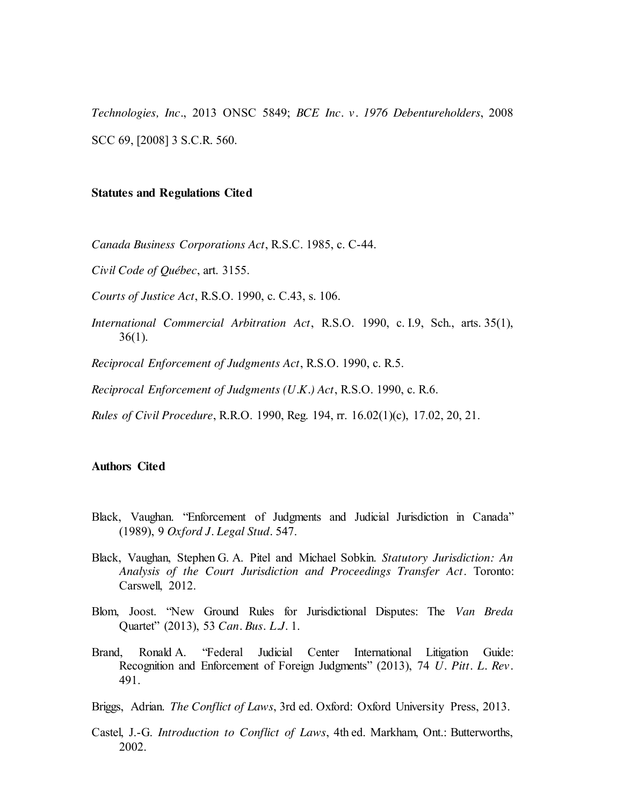*Technologies, Inc.*, 2013 ONSC 5849; *BCE Inc. v. 1976 Debentureholders*, 2008 SCC 69, [2008] 3 S.C.R. 560.

#### **Statutes and Regulations Cited**

*Canada Business Corporations Act*, R.S.C. 1985, c. C-44.

*Civil Code of Québec*, art. 3155.

*Courts of Justice Act*, R.S.O. 1990, c. C.43, s. 106.

*International Commercial Arbitration Act*, R.S.O. 1990, c. I.9, Sch., arts. 35(1),  $36(1)$ .

*Reciprocal Enforcement of Judgments Act*, R.S.O. 1990, c. R.5.

*Reciprocal Enforcement of Judgments (U.K.) Act*, R.S.O. 1990, c. R.6.

*Rules of Civil Procedure*, R.R.O. 1990, Reg. 194, rr. 16.02(1)(c), 17.02, 20, 21.

#### **Authors Cited**

- Black, Vaughan. "Enforcement of Judgments and Judicial Jurisdiction in Canada" (1989), 9 *Oxford J. Legal Stud.* 547.
- Black, Vaughan, Stephen G. A. Pitel and Michael Sobkin. *Statutory Jurisdiction: An Analysis of the Court Jurisdiction and Proceedings Transfer Act*. Toronto: Carswell, 2012.
- Blom, Joost. "New Ground Rules for Jurisdictional Disputes: The *Van Breda* Quartet" (2013), 53 *Can. Bus. L.J.* 1.
- Brand, Ronald A. "Federal Judicial Center International Litigation Guide: Recognition and Enforcement of Foreign Judgments" (2013), 74 *U. Pitt. L. Rev.* 491.

Briggs, Adrian. *The Conflict of Laws*, 3rd ed. Oxford: Oxford University Press, 2013.

Castel, J.-G. *Introduction to Conflict of Laws*, 4th ed. Markham, Ont.: Butterworths, 2002.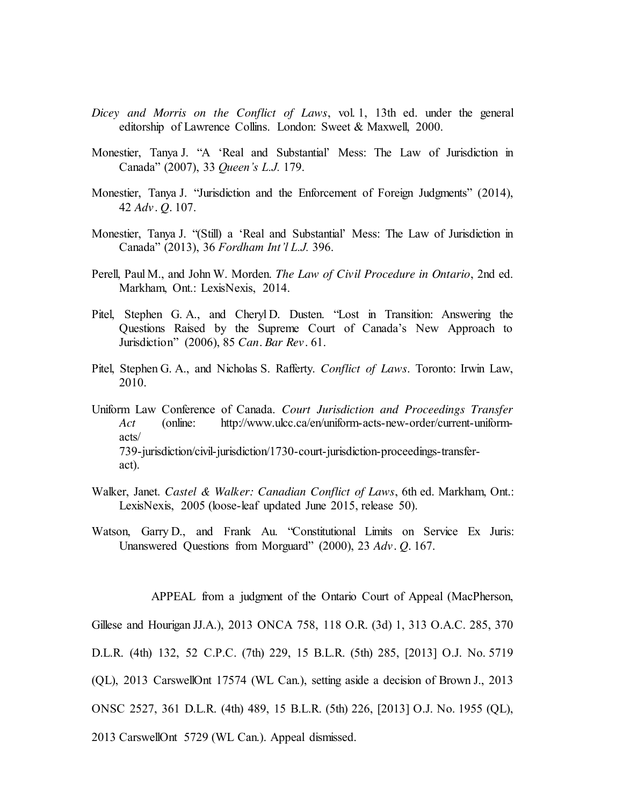- *Dicey and Morris on the Conflict of Laws*, vol. 1, 13th ed. under the general editorship of Lawrence Collins. London: Sweet & Maxwell, 2000.
- Monestier, Tanya J. "A 'Real and Substantial' Mess: The Law of Jurisdiction in Canada" (2007), 33 *Queen's L.J.* 179.
- Monestier, Tanya J. "Jurisdiction and the Enforcement of Foreign Judgments" (2014), 42 *Adv. Q.* 107.
- Monestier, Tanya J. "(Still) a 'Real and Substantial' Mess: The Law of Jurisdiction in Canada" (2013), 36 *Fordham Int'l L.J.* 396.
- Perell, Paul M., and John W. Morden. *The Law of Civil Procedure in Ontario*, 2nd ed. Markham, Ont.: LexisNexis, 2014.
- Pitel, Stephen G. A., and Cheryl D. Dusten. "Lost in Transition: Answering the Questions Raised by the Supreme Court of Canada's New Approach to Jurisdiction" (2006), 85 *Can. Bar Rev.* 61.
- Pitel, Stephen G. A., and Nicholas S. Rafferty. *Conflict of Laws*. Toronto: Irwin Law, 2010.
- Uniform Law Conference of Canada. *Court Jurisdiction and Proceedings Transfer Act* (online: http://www.ulcc.ca/en/uniform-acts-new-order/current-uniformacts/ 739-jurisdiction/civil-jurisdiction/1730-court-jurisdiction-proceedings-transferact).
- Walker, Janet. *Castel & Walker: Canadian Conflict of Laws*, 6th ed. Markham, Ont.: LexisNexis, 2005 (loose-leaf updated June 2015, release 50).
- Watson, Garry D., and Frank Au. "Constitutional Limits on Service Ex Juris: Unanswered Questions from Morguard" (2000), 23 *Adv. Q.* 167.

APPEAL from a judgment of the Ontario Court of Appeal (MacPherson,

Gillese and Hourigan JJ.A.), 2013 ONCA 758, 118 O.R. (3d) 1, 313 O.A.C. 285, 370

- D.L.R. (4th) 132, 52 C.P.C. (7th) 229, 15 B.L.R. (5th) 285, [2013] O.J. No. 5719
- (QL), 2013 CarswellOnt 17574 (WL Can.), setting aside a decision of Brown J., 2013
- ONSC 2527, 361 D.L.R. (4th) 489, 15 B.L.R. (5th) 226, [2013] O.J. No. 1955 (QL),
- 2013 CarswellOnt 5729 (WL Can.). Appeal dismissed.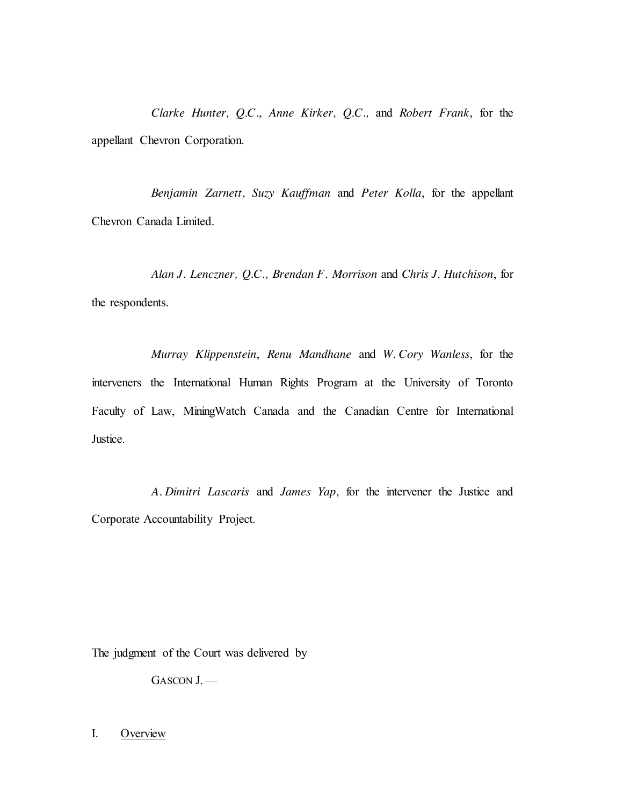*Clarke Hunter, Q.C.*, *Anne Kirker, Q.C.,* and *Robert Frank*, for the appellant Chevron Corporation.

*Benjamin Zarnett*, *Suzy Kauffman* and *Peter Kolla*, for the appellant Chevron Canada Limited.

*Alan J. Lenczner, Q.C., Brendan F. Morrison* and *Chris J. Hutchison*, for the respondents.

*Murray Klippenstein*, *Renu Mandhane* and *W. Cory Wanless*, for the interveners the International Human Rights Program at the University of Toronto Faculty of Law, MiningWatch Canada and the Canadian Centre for International Justice.

*A. Dimitri Lascaris* and *James Yap*, for the intervener the Justice and Corporate Accountability Project.

The judgment of the Court was delivered by

GASCON J. —

I. Overview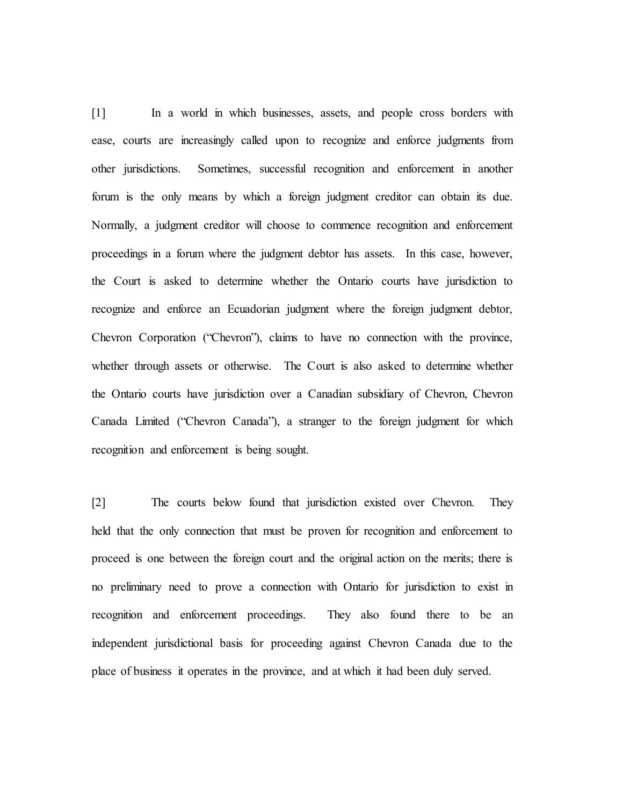[1] In a world in which businesses, assets, and people cross borders with ease, courts are increasingly called upon to recognize and enforce judgments from other jurisdictions. Sometimes, successful recognition and enforcement in another forum is the only means by which a foreign judgment creditor can obtain its due. Normally, a judgment creditor will choose to commence recognition and enforcement proceedings in a forum where the judgment debtor has assets. In this case, however, the Court is asked to determine whether the Ontario courts have jurisdiction to recognize and enforce an Ecuadorian judgment where the foreign judgment debtor, Chevron Corporation ("Chevron"), claims to have no connection with the province, whether through assets or otherwise. The Court is also asked to determine whether the Ontario courts have jurisdiction over a Canadian subsidiary of Chevron, Chevron Canada Limited ("Chevron Canada"), a stranger to the foreign judgment for which recognition and enforcement is being sought.

[2] The courts below found that jurisdiction existed over Chevron. They held that the only connection that must be proven for recognition and enforcement to proceed is one between the foreign court and the original action on the merits; there is no preliminary need to prove a connection with Ontario for jurisdiction to exist in recognition and enforcement proceedings. They also found there to be an independent jurisdictional basis for proceeding against Chevron Canada due to the place of business it operates in the province, and at which it had been duly served.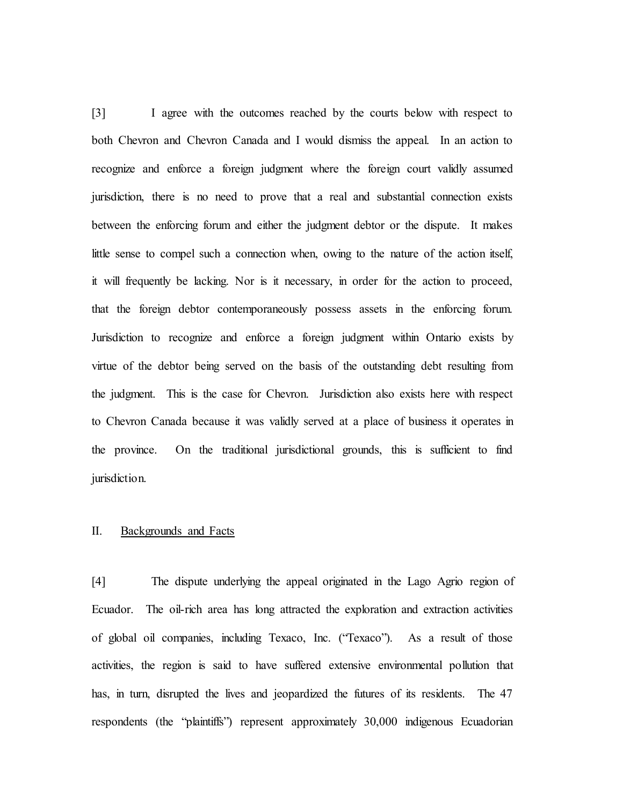[3] I agree with the outcomes reached by the courts below with respect to both Chevron and Chevron Canada and I would dismiss the appeal. In an action to recognize and enforce a foreign judgment where the foreign court validly assumed jurisdiction, there is no need to prove that a real and substantial connection exists between the enforcing forum and either the judgment debtor or the dispute. It makes little sense to compel such a connection when, owing to the nature of the action itself, it will frequently be lacking. Nor is it necessary, in order for the action to proceed, that the foreign debtor contemporaneously possess assets in the enforcing forum. Jurisdiction to recognize and enforce a foreign judgment within Ontario exists by virtue of the debtor being served on the basis of the outstanding debt resulting from the judgment. This is the case for Chevron. Jurisdiction also exists here with respect to Chevron Canada because it was validly served at a place of business it operates in the province. On the traditional jurisdictional grounds, this is sufficient to find jurisdiction.

#### II. Backgrounds and Facts

[4] The dispute underlying the appeal originated in the Lago Agrio region of Ecuador. The oil-rich area has long attracted the exploration and extraction activities of global oil companies, including Texaco, Inc. ("Texaco"). As a result of those activities, the region is said to have suffered extensive environmental pollution that has, in turn, disrupted the lives and jeopardized the futures of its residents. The 47 respondents (the "plaintiffs") represent approximately 30,000 indigenous Ecuadorian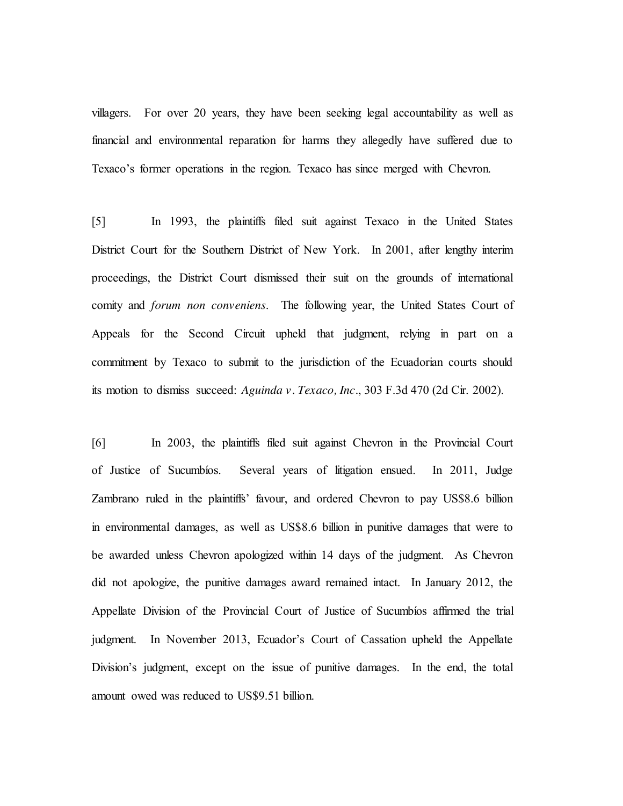villagers. For over 20 years, they have been seeking legal accountability as well as financial and environmental reparation for harms they allegedly have suffered due to Texaco's former operations in the region. Texaco has since merged with Chevron.

[5] In 1993, the plaintiffs filed suit against Texaco in the United States District Court for the Southern District of New York. In 2001, after lengthy interim proceedings, the District Court dismissed their suit on the grounds of international comity and *forum non conveniens*. The following year, the United States Court of Appeals for the Second Circuit upheld that judgment, relying in part on a commitment by Texaco to submit to the jurisdiction of the Ecuadorian courts should its motion to dismiss succeed: *Aguinda v. Texaco, Inc.*, 303 F.3d 470 (2d Cir. 2002).

[6] In 2003, the plaintiffs filed suit against Chevron in the Provincial Court of Justice of Sucumbíos. Several years of litigation ensued. In 2011, Judge Zambrano ruled in the plaintiffs' favour, and ordered Chevron to pay US\$8.6 billion in environmental damages, as well as US\$8.6 billion in punitive damages that were to be awarded unless Chevron apologized within 14 days of the judgment. As Chevron did not apologize, the punitive damages award remained intact. In January 2012, the Appellate Division of the Provincial Court of Justice of Sucumbíos affirmed the trial judgment. In November 2013, Ecuador's Court of Cassation upheld the Appellate Division's judgment, except on the issue of punitive damages. In the end, the total amount owed was reduced to US\$9.51 billion.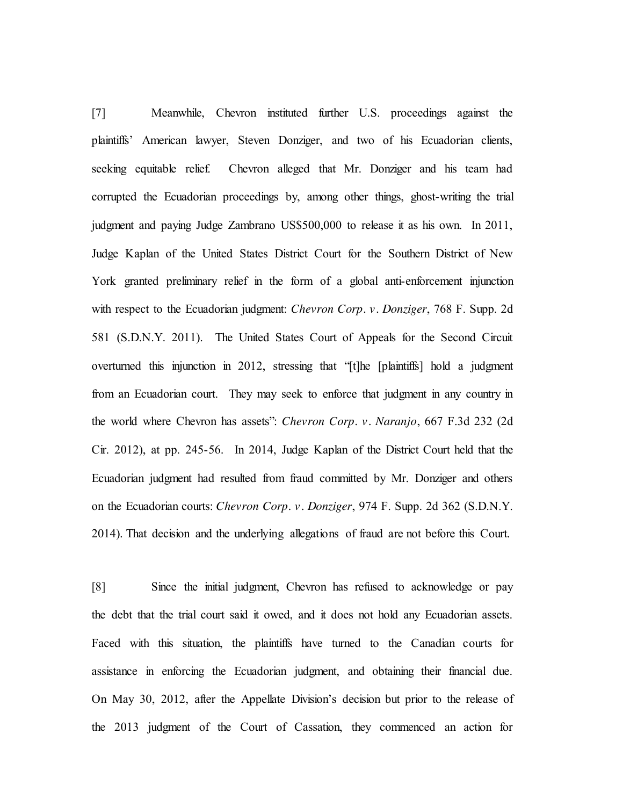[7] Meanwhile, Chevron instituted further U.S. proceedings against the plaintiffs' American lawyer, Steven Donziger, and two of his Ecuadorian clients, seeking equitable relief. Chevron alleged that Mr. Donziger and his team had corrupted the Ecuadorian proceedings by, among other things, ghost-writing the trial judgment and paying Judge Zambrano US\$500,000 to release it as his own. In 2011, Judge Kaplan of the United States District Court for the Southern District of New York granted preliminary relief in the form of a global anti-enforcement injunction with respect to the Ecuadorian judgment: *Chevron Corp. v. Donziger*, 768 F. Supp. 2d 581 (S.D.N.Y. 2011). The United States Court of Appeals for the Second Circuit overturned this injunction in 2012, stressing that "[t]he [plaintiffs] hold a judgment from an Ecuadorian court. They may seek to enforce that judgment in any country in the world where Chevron has assets": *Chevron Corp. v. Naranjo*, 667 F.3d 232 (2d Cir. 2012), at pp. 245-56. In 2014, Judge Kaplan of the District Court held that the Ecuadorian judgment had resulted from fraud committed by Mr. Donziger and others on the Ecuadorian courts: *Chevron Corp. v. Donziger*, 974 F. Supp. 2d 362 (S.D.N.Y. 2014). That decision and the underlying allegations of fraud are not before this Court.

[8] Since the initial judgment, Chevron has refused to acknowledge or pay the debt that the trial court said it owed, and it does not hold any Ecuadorian assets. Faced with this situation, the plaintiffs have turned to the Canadian courts for assistance in enforcing the Ecuadorian judgment, and obtaining their financial due. On May 30, 2012, after the Appellate Division's decision but prior to the release of the 2013 judgment of the Court of Cassation, they commenced an action for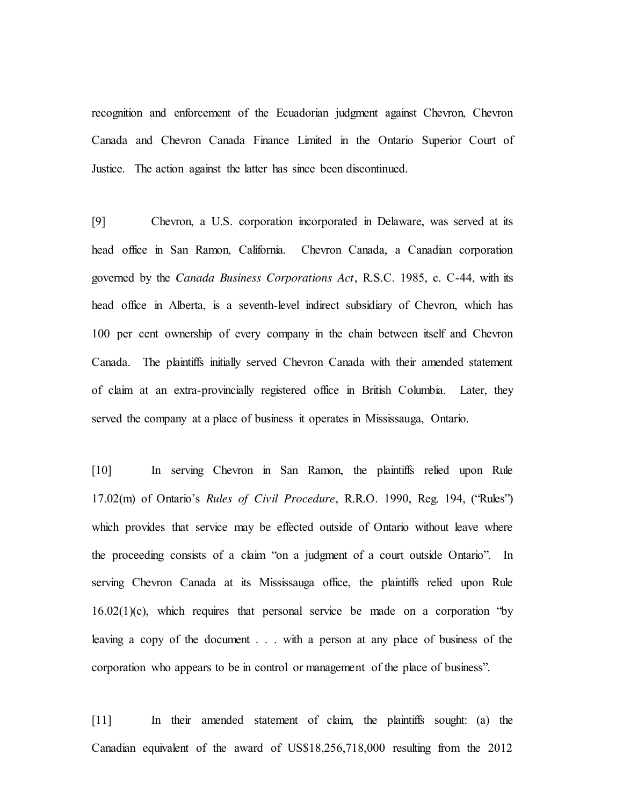recognition and enforcement of the Ecuadorian judgment against Chevron, Chevron Canada and Chevron Canada Finance Limited in the Ontario Superior Court of Justice. The action against the latter has since been discontinued.

[9] Chevron, a U.S. corporation incorporated in Delaware, was served at its head office in San Ramon, California. Chevron Canada, a Canadian corporation governed by the *Canada Business Corporations Act*, R.S.C. 1985, c. C-44, with its head office in Alberta, is a seventh-level indirect subsidiary of Chevron, which has 100 per cent ownership of every company in the chain between itself and Chevron Canada. The plaintiffs initially served Chevron Canada with their amended statement of claim at an extra-provincially registered office in British Columbia. Later, they served the company at a place of business it operates in Mississauga, Ontario.

[10] In serving Chevron in San Ramon, the plaintiffs relied upon Rule 17.02(m) of Ontario's *Rules of Civil Procedure*, R.R.O. 1990, Reg. 194, ("Rules") which provides that service may be effected outside of Ontario without leave where the proceeding consists of a claim "on a judgment of a court outside Ontario". In serving Chevron Canada at its Mississauga office, the plaintiffs relied upon Rule  $16.02(1)(c)$ , which requires that personal service be made on a corporation "by leaving a copy of the document . . . with a person at any place of business of the corporation who appears to be in control or management of the place of business".

[11] In their amended statement of claim, the plaintiffs sought: (a) the Canadian equivalent of the award of US\$18,256,718,000 resulting from the 2012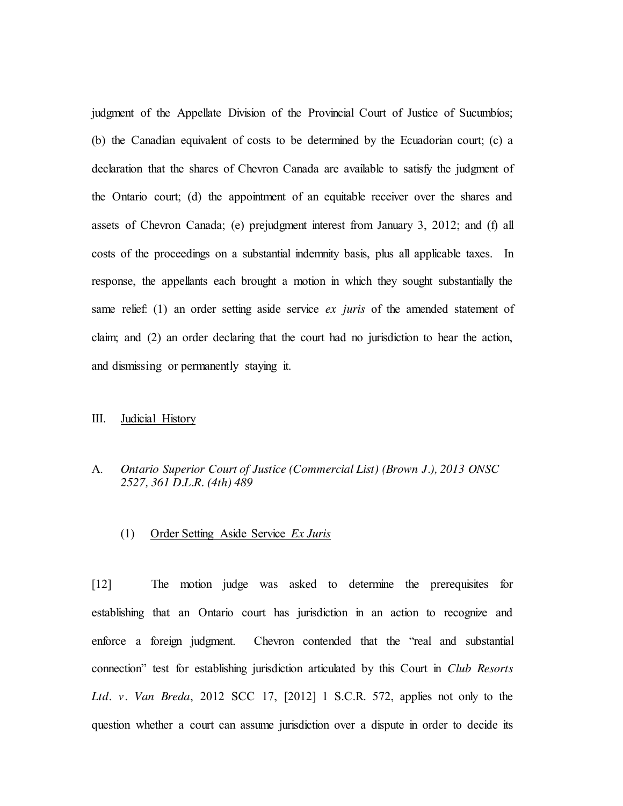judgment of the Appellate Division of the Provincial Court of Justice of Sucumbíos; (b) the Canadian equivalent of costs to be determined by the Ecuadorian court; (c) a declaration that the shares of Chevron Canada are available to satisfy the judgment of the Ontario court; (d) the appointment of an equitable receiver over the shares and assets of Chevron Canada; (e) prejudgment interest from January 3, 2012; and (f) all costs of the proceedings on a substantial indemnity basis, plus all applicable taxes. In response, the appellants each brought a motion in which they sought substantially the same relief: (1) an order setting aside service *ex juris* of the amended statement of claim; and (2) an order declaring that the court had no jurisdiction to hear the action, and dismissing or permanently staying it.

#### III. Judicial History

## A. *Ontario Superior Court of Justice (Commercial List) (Brown J.), 2013 ONSC 2527, 361 D.L.R. (4th) 489*

### (1) Order Setting Aside Service *Ex Juris*

[12] The motion judge was asked to determine the prerequisites for establishing that an Ontario court has jurisdiction in an action to recognize and enforce a foreign judgment. Chevron contended that the "real and substantial connection" test for establishing jurisdiction articulated by this Court in *Club Resorts Ltd. v. Van Breda*, 2012 SCC 17, [2012] 1 S.C.R. 572, applies not only to the question whether a court can assume jurisdiction over a dispute in order to decide its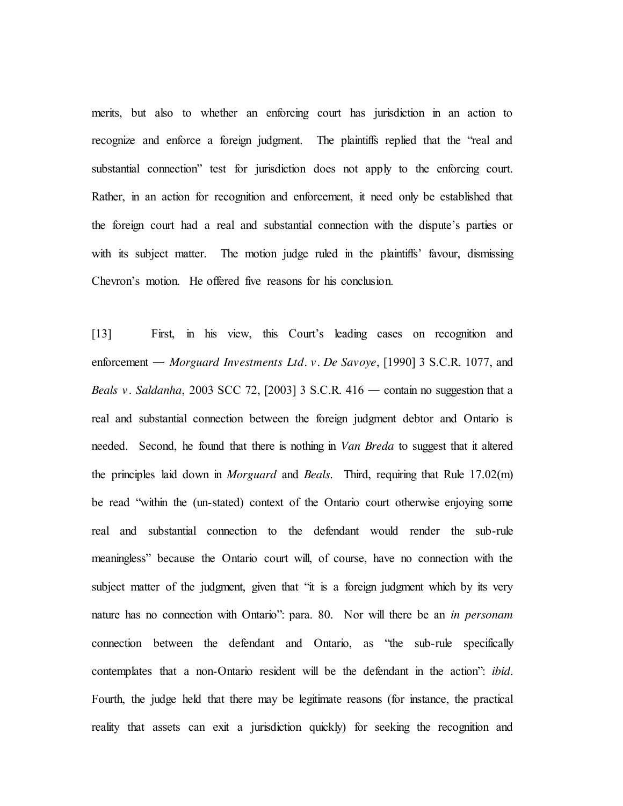merits, but also to whether an enforcing court has jurisdiction in an action to recognize and enforce a foreign judgment. The plaintiffs replied that the "real and substantial connection" test for jurisdiction does not apply to the enforcing court. Rather, in an action for recognition and enforcement, it need only be established that the foreign court had a real and substantial connection with the dispute's parties or with its subject matter. The motion judge ruled in the plaintiffs' favour, dismissing Chevron's motion. He offered five reasons for his conclusion.

[13] First, in his view, this Court's leading cases on recognition and enforcement ― *Morguard Investments Ltd. v. De Savoye*, [1990] 3 S.C.R. 1077, and *Beals v. Saldanha*, 2003 SCC 72, [2003] 3 S.C.R. 416 ― contain no suggestion that a real and substantial connection between the foreign judgment debtor and Ontario is needed. Second, he found that there is nothing in *Van Breda* to suggest that it altered the principles laid down in *Morguard* and *Beals*. Third, requiring that Rule 17.02(m) be read "within the (un-stated) context of the Ontario court otherwise enjoying some real and substantial connection to the defendant would render the sub-rule meaningless" because the Ontario court will, of course, have no connection with the subject matter of the judgment, given that "it is a foreign judgment which by its very nature has no connection with Ontario": para. 80. Nor will there be an *in personam* connection between the defendant and Ontario, as "the sub-rule specifically contemplates that a non-Ontario resident will be the defendant in the action": *ibid*. Fourth, the judge held that there may be legitimate reasons (for instance, the practical reality that assets can exit a jurisdiction quickly) for seeking the recognition and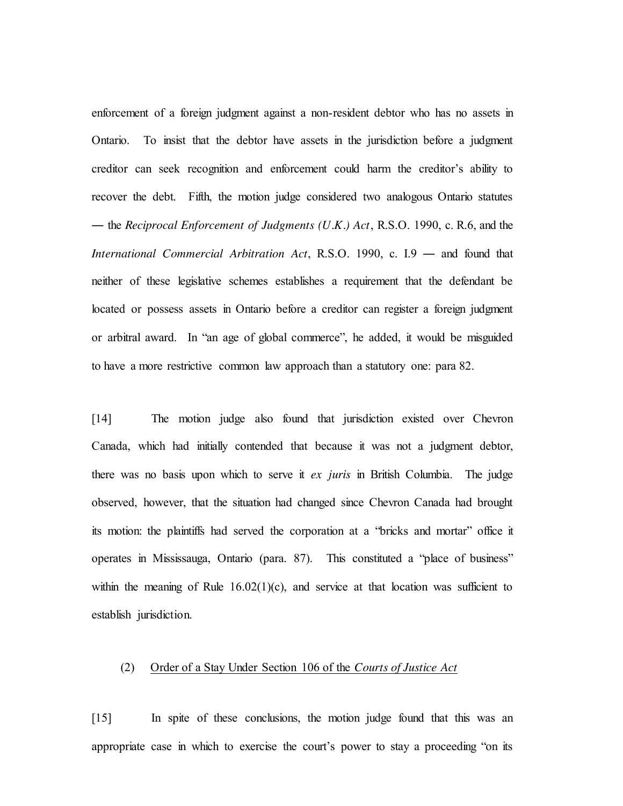enforcement of a foreign judgment against a non-resident debtor who has no assets in Ontario. To insist that the debtor have assets in the jurisdiction before a judgment creditor can seek recognition and enforcement could harm the creditor's ability to recover the debt. Fifth, the motion judge considered two analogous Ontario statutes ― the *Reciprocal Enforcement of Judgments (U.K.) Act*, R.S.O. 1990, c. R.6, and the *International Commercial Arbitration Act*, R.S.O. 1990, c. I.9 ― and found that neither of these legislative schemes establishes a requirement that the defendant be located or possess assets in Ontario before a creditor can register a foreign judgment or arbitral award. In "an age of global commerce", he added, it would be misguided to have a more restrictive common law approach than a statutory one: para 82.

[14] The motion judge also found that jurisdiction existed over Chevron Canada, which had initially contended that because it was not a judgment debtor, there was no basis upon which to serve it *ex juris* in British Columbia. The judge observed, however, that the situation had changed since Chevron Canada had brought its motion: the plaintiffs had served the corporation at a "bricks and mortar" office it operates in Mississauga, Ontario (para. 87). This constituted a "place of business" within the meaning of Rule  $16.02(1)(c)$ , and service at that location was sufficient to establish jurisdiction.

#### (2) Order of a Stay Under Section 106 of the *Courts of Justice Act*

[15] In spite of these conclusions, the motion judge found that this was an appropriate case in which to exercise the court's power to stay a proceeding "on its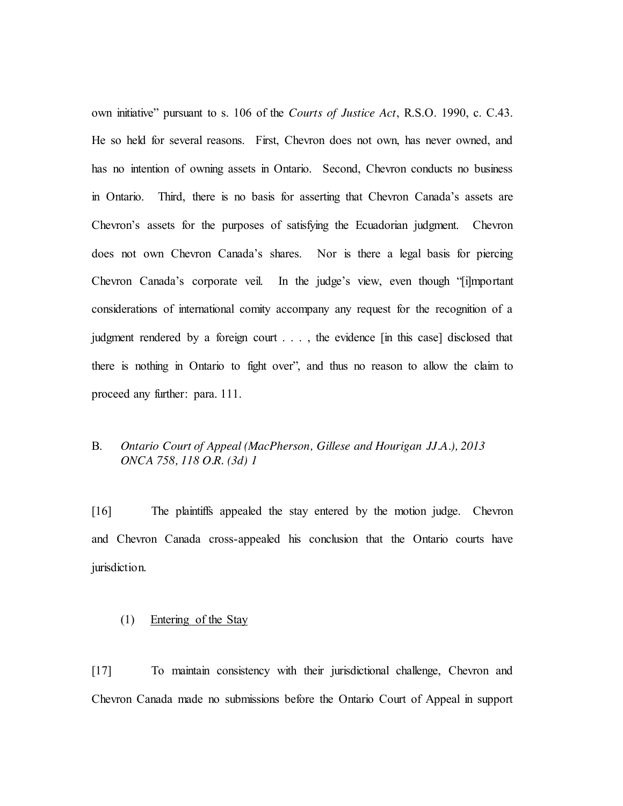own initiative" pursuant to s. 106 of the *Courts of Justice Act*, R.S.O. 1990, c. C.43. He so held for several reasons. First, Chevron does not own, has never owned, and has no intention of owning assets in Ontario. Second, Chevron conducts no business in Ontario. Third, there is no basis for asserting that Chevron Canada's assets are Chevron's assets for the purposes of satisfying the Ecuadorian judgment. Chevron does not own Chevron Canada's shares. Nor is there a legal basis for piercing Chevron Canada's corporate veil. In the judge's view, even though "[i]mportant considerations of international comity accompany any request for the recognition of a judgment rendered by a foreign court . . . , the evidence [in this case] disclosed that there is nothing in Ontario to fight over", and thus no reason to allow the claim to proceed any further: para. 111.

## B. *Ontario Court of Appeal (MacPherson, Gillese and Hourigan JJ.A.), 2013 ONCA 758, 118 O.R. (3d) 1*

[16] The plaintiffs appealed the stay entered by the motion judge. Chevron and Chevron Canada cross-appealed his conclusion that the Ontario courts have jurisdiction.

## (1) Entering of the Stay

[17] To maintain consistency with their jurisdictional challenge, Chevron and Chevron Canada made no submissions before the Ontario Court of Appeal in support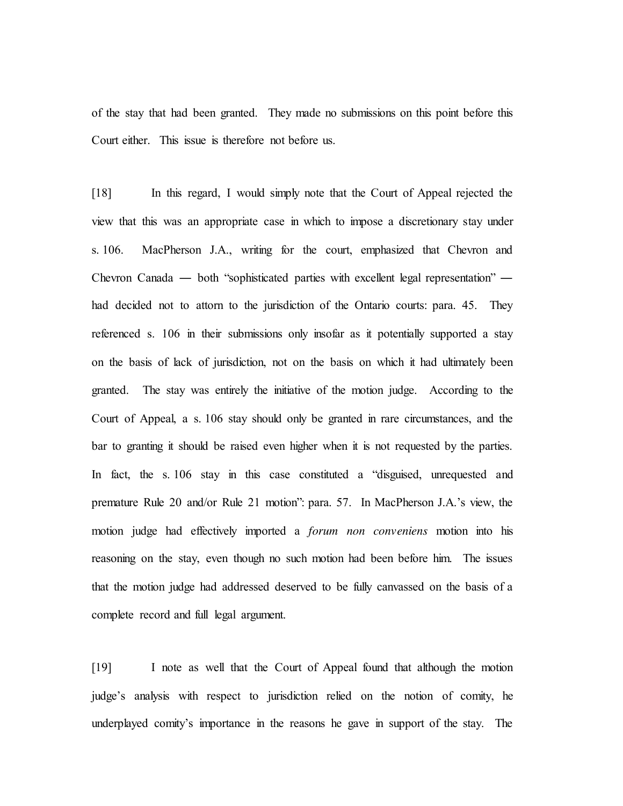of the stay that had been granted. They made no submissions on this point before this Court either. This issue is therefore not before us.

[18] In this regard, I would simply note that the Court of Appeal rejected the view that this was an appropriate case in which to impose a discretionary stay under s. 106. MacPherson J.A., writing for the court, emphasized that Chevron and Chevron Canada ― both "sophisticated parties with excellent legal representation" ― had decided not to attorn to the jurisdiction of the Ontario courts: para. 45. They referenced s. 106 in their submissions only insofar as it potentially supported a stay on the basis of lack of jurisdiction, not on the basis on which it had ultimately been granted. The stay was entirely the initiative of the motion judge. According to the Court of Appeal, a s. 106 stay should only be granted in rare circumstances, and the bar to granting it should be raised even higher when it is not requested by the parties. In fact, the s. 106 stay in this case constituted a "disguised, unrequested and premature Rule 20 and/or Rule 21 motion": para. 57. In MacPherson J.A.'s view, the motion judge had effectively imported a *forum non conveniens* motion into his reasoning on the stay, even though no such motion had been before him. The issues that the motion judge had addressed deserved to be fully canvassed on the basis of a complete record and full legal argument.

[19] I note as well that the Court of Appeal found that although the motion judge's analysis with respect to jurisdiction relied on the notion of comity, he underplayed comity's importance in the reasons he gave in support of the stay. The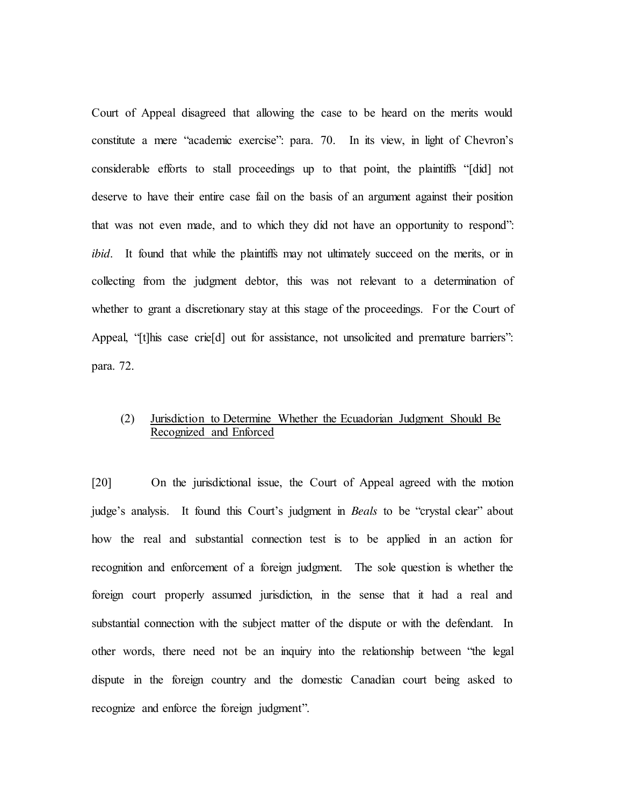Court of Appeal disagreed that allowing the case to be heard on the merits would constitute a mere "academic exercise": para. 70. In its view, in light of Chevron's considerable efforts to stall proceedings up to that point, the plaintiffs "[did] not deserve to have their entire case fail on the basis of an argument against their position that was not even made, and to which they did not have an opportunity to respond": *ibid*. It found that while the plaintiffs may not ultimately succeed on the merits, or in collecting from the judgment debtor, this was not relevant to a determination of whether to grant a discretionary stay at this stage of the proceedings. For the Court of Appeal, "[t]his case crie<sup>[d]</sup> out for assistance, not unsolicited and premature barriers": para. 72.

## (2) Jurisdiction to Determine Whether the Ecuadorian Judgment Should Be Recognized and Enforced

[20] On the jurisdictional issue, the Court of Appeal agreed with the motion judge's analysis. It found this Court's judgment in *Beals* to be "crystal clear" about how the real and substantial connection test is to be applied in an action for recognition and enforcement of a foreign judgment. The sole question is whether the foreign court properly assumed jurisdiction, in the sense that it had a real and substantial connection with the subject matter of the dispute or with the defendant. In other words, there need not be an inquiry into the relationship between "the legal dispute in the foreign country and the domestic Canadian court being asked to recognize and enforce the foreign judgment".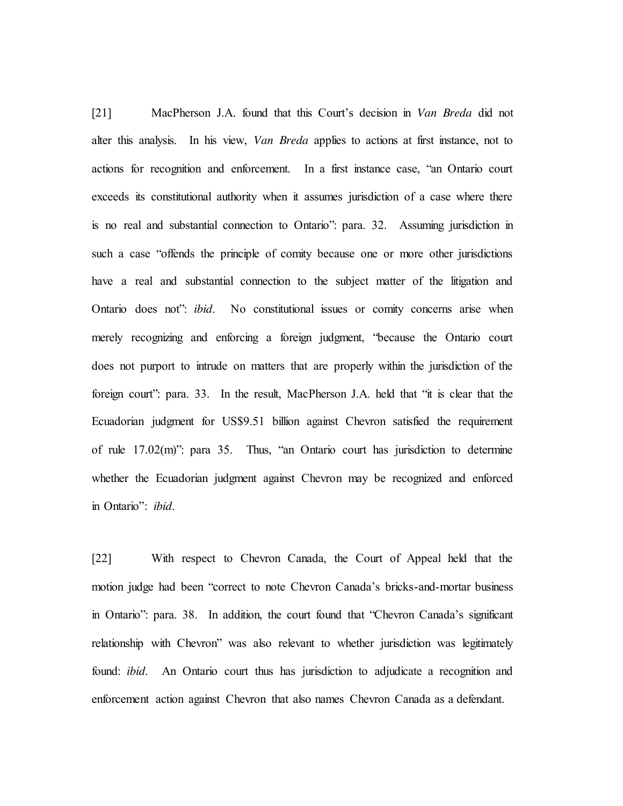[21] MacPherson J.A. found that this Court's decision in *Van Breda* did not alter this analysis. In his view, *Van Breda* applies to actions at first instance, not to actions for recognition and enforcement. In a first instance case, "an Ontario court exceeds its constitutional authority when it assumes jurisdiction of a case where there is no real and substantial connection to Ontario": para. 32. Assuming jurisdiction in such a case "offends the principle of comity because one or more other jurisdictions have a real and substantial connection to the subject matter of the litigation and Ontario does not": *ibid*. No constitutional issues or comity concerns arise when merely recognizing and enforcing a foreign judgment, "because the Ontario court does not purport to intrude on matters that are properly within the jurisdiction of the foreign court": para. 33. In the result, MacPherson J.A. held that "it is clear that the Ecuadorian judgment for US\$9.51 billion against Chevron satisfied the requirement of rule 17.02(m)": para 35. Thus, "an Ontario court has jurisdiction to determine whether the Ecuadorian judgment against Chevron may be recognized and enforced in Ontario": *ibid*.

[22] With respect to Chevron Canada, the Court of Appeal held that the motion judge had been "correct to note Chevron Canada's bricks-and-mortar business in Ontario": para. 38. In addition, the court found that "Chevron Canada's significant relationship with Chevron" was also relevant to whether jurisdiction was legitimately found: *ibid*. An Ontario court thus has jurisdiction to adjudicate a recognition and enforcement action against Chevron that also names Chevron Canada as a defendant.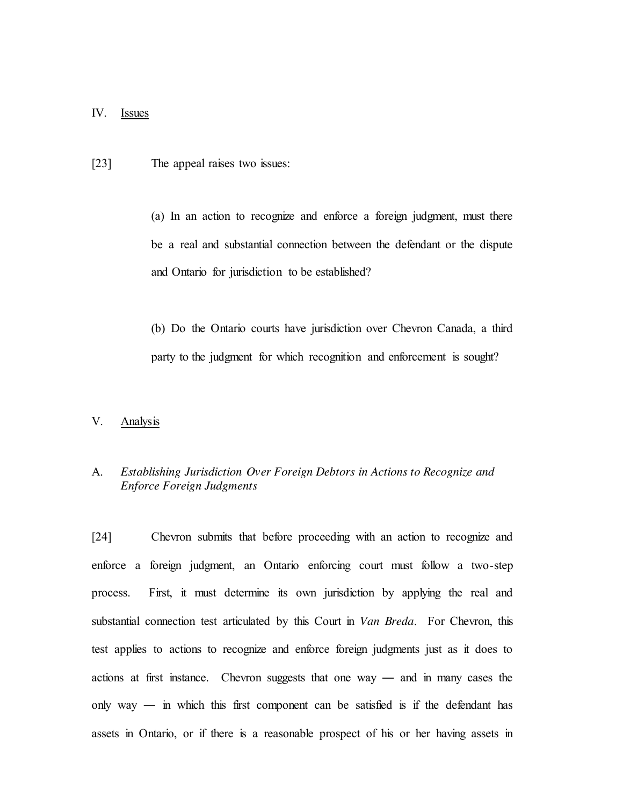#### IV. Issues

[23] The appeal raises two issues:

(a) In an action to recognize and enforce a foreign judgment, must there be a real and substantial connection between the defendant or the dispute and Ontario for jurisdiction to be established?

(b) Do the Ontario courts have jurisdiction over Chevron Canada, a third party to the judgment for which recognition and enforcement is sought?

#### V. Analysis

## A. *Establishing Jurisdiction Over Foreign Debtors in Actions to Recognize and Enforce Foreign Judgments*

[24] Chevron submits that before proceeding with an action to recognize and enforce a foreign judgment, an Ontario enforcing court must follow a two-step process. First, it must determine its own jurisdiction by applying the real and substantial connection test articulated by this Court in *Van Breda*. For Chevron, this test applies to actions to recognize and enforce foreign judgments just as it does to actions at first instance. Chevron suggests that one way — and in many cases the only way ― in which this first component can be satisfied is if the defendant has assets in Ontario, or if there is a reasonable prospect of his or her having assets in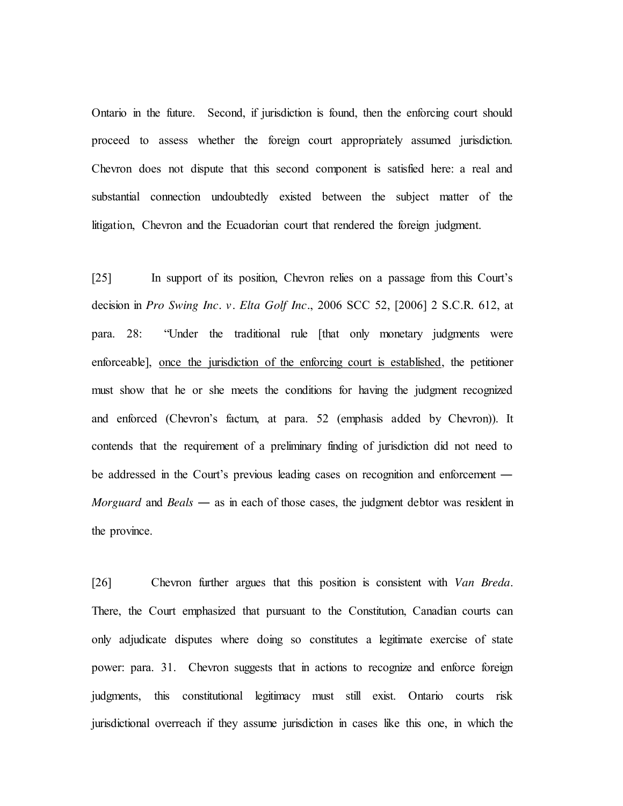Ontario in the future. Second, if jurisdiction is found, then the enforcing court should proceed to assess whether the foreign court appropriately assumed jurisdiction. Chevron does not dispute that this second component is satisfied here: a real and substantial connection undoubtedly existed between the subject matter of the litigation, Chevron and the Ecuadorian court that rendered the foreign judgment.

[25] In support of its position, Chevron relies on a passage from this Court's decision in *Pro Swing Inc. v. Elta Golf Inc.*, 2006 SCC 52, [2006] 2 S.C.R. 612, at para. 28: "Under the traditional rule [that only monetary judgments were enforceable], once the jurisdiction of the enforcing court is established, the petitioner must show that he or she meets the conditions for having the judgment recognized and enforced (Chevron's factum, at para. 52 (emphasis added by Chevron)). It contends that the requirement of a preliminary finding of jurisdiction did not need to be addressed in the Court's previous leading cases on recognition and enforcement ― *Morguard* and *Beals* — as in each of those cases, the judgment debtor was resident in the province.

[26] Chevron further argues that this position is consistent with *Van Breda*. There, the Court emphasized that pursuant to the Constitution, Canadian courts can only adjudicate disputes where doing so constitutes a legitimate exercise of state power: para. 31. Chevron suggests that in actions to recognize and enforce foreign judgments, this constitutional legitimacy must still exist. Ontario courts risk jurisdictional overreach if they assume jurisdiction in cases like this one, in which the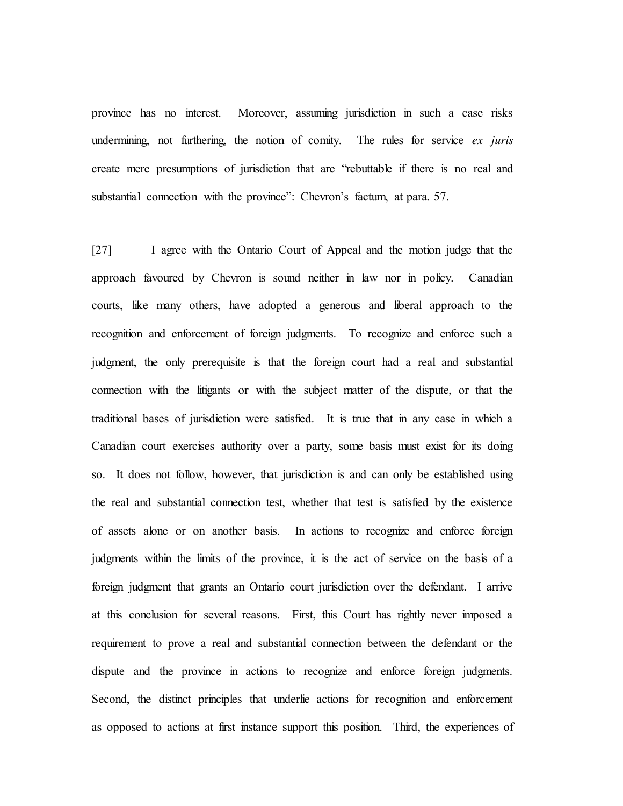province has no interest. Moreover, assuming jurisdiction in such a case risks undermining, not furthering, the notion of comity. The rules for service *ex juris* create mere presumptions of jurisdiction that are "rebuttable if there is no real and substantial connection with the province": Chevron's factum, at para. 57.

[27] I agree with the Ontario Court of Appeal and the motion judge that the approach favoured by Chevron is sound neither in law nor in policy. Canadian courts, like many others, have adopted a generous and liberal approach to the recognition and enforcement of foreign judgments. To recognize and enforce such a judgment, the only prerequisite is that the foreign court had a real and substantial connection with the litigants or with the subject matter of the dispute, or that the traditional bases of jurisdiction were satisfied. It is true that in any case in which a Canadian court exercises authority over a party, some basis must exist for its doing so. It does not follow, however, that jurisdiction is and can only be established using the real and substantial connection test, whether that test is satisfied by the existence of assets alone or on another basis. In actions to recognize and enforce foreign judgments within the limits of the province, it is the act of service on the basis of a foreign judgment that grants an Ontario court jurisdiction over the defendant. I arrive at this conclusion for several reasons. First, this Court has rightly never imposed a requirement to prove a real and substantial connection between the defendant or the dispute and the province in actions to recognize and enforce foreign judgments. Second, the distinct principles that underlie actions for recognition and enforcement as opposed to actions at first instance support this position. Third, the experiences of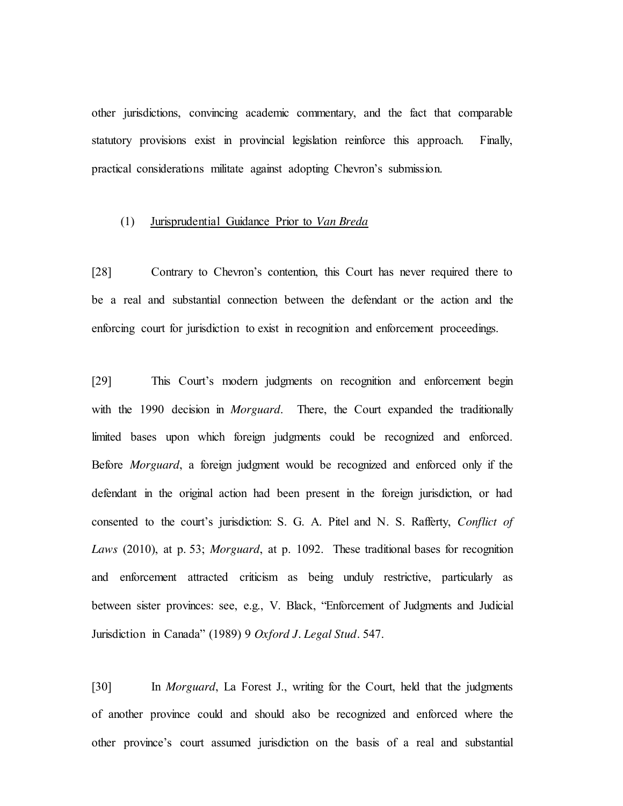other jurisdictions, convincing academic commentary, and the fact that comparable statutory provisions exist in provincial legislation reinforce this approach. Finally, practical considerations militate against adopting Chevron's submission.

### (1) Jurisprudential Guidance Prior to *Van Breda*

[28] Contrary to Chevron's contention, this Court has never required there to be a real and substantial connection between the defendant or the action and the enforcing court for jurisdiction to exist in recognition and enforcement proceedings.

[29] This Court's modern judgments on recognition and enforcement begin with the 1990 decision in *Morguard*. There, the Court expanded the traditionally limited bases upon which foreign judgments could be recognized and enforced. Before *Morguard*, a foreign judgment would be recognized and enforced only if the defendant in the original action had been present in the foreign jurisdiction, or had consented to the court's jurisdiction: S. G. A. Pitel and N. S. Rafferty, *Conflict of Laws* (2010), at p. 53; *Morguard*, at p. 1092. These traditional bases for recognition and enforcement attracted criticism as being unduly restrictive, particularly as between sister provinces: see, e.g., V. Black, "Enforcement of Judgments and Judicial Jurisdiction in Canada" (1989) 9 *Oxford J. Legal Stud.* 547.

[30] In *Morguard*, La Forest J., writing for the Court, held that the judgments of another province could and should also be recognized and enforced where the other province's court assumed jurisdiction on the basis of a real and substantial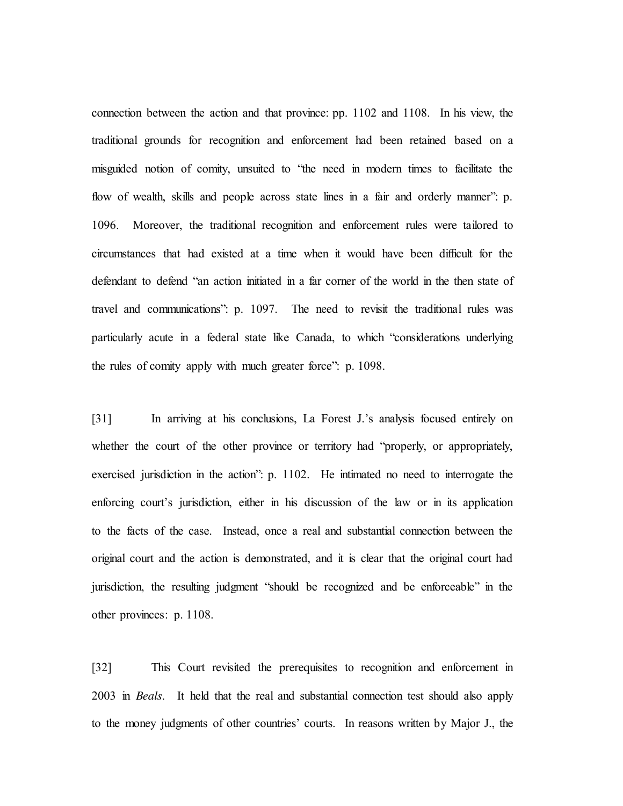connection between the action and that province: pp. 1102 and 1108.In his view, the traditional grounds for recognition and enforcement had been retained based on a misguided notion of comity, unsuited to "the need in modern times to facilitate the flow of wealth, skills and people across state lines in a fair and orderly manner": p. 1096. Moreover, the traditional recognition and enforcement rules were tailored to circumstances that had existed at a time when it would have been difficult for the defendant to defend "an action initiated in a far corner of the world in the then state of travel and communications": p. 1097. The need to revisit the traditional rules was particularly acute in a federal state like Canada, to which "considerations underlying the rules of comity apply with much greater force": p. 1098.

[31] In arriving at his conclusions, La Forest J.'s analysis focused entirely on whether the court of the other province or territory had "properly, or appropriately, exercised jurisdiction in the action": p. 1102.He intimated no need to interrogate the enforcing court's jurisdiction, either in his discussion of the law or in its application to the facts of the case. Instead, once a real and substantial connection between the original court and the action is demonstrated, and it is clear that the original court had jurisdiction, the resulting judgment "should be recognized and be enforceable" in the other provinces: p. 1108.

[32] This Court revisited the prerequisites to recognition and enforcement in 2003 in *Beals*. It held that the real and substantial connection test should also apply to the money judgments of other countries' courts. In reasons written by Major J., the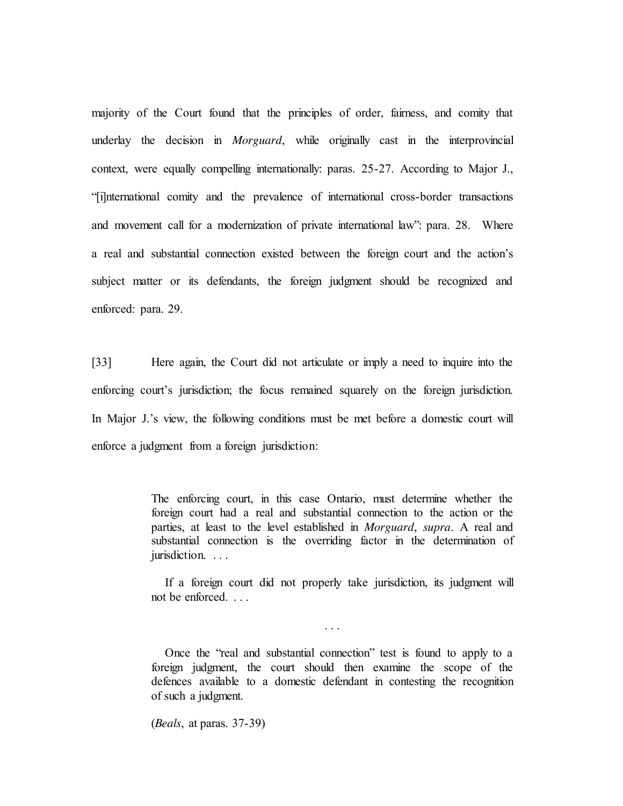majority of the Court found that the principles of order, fairness, and comity that underlay the decision in *Morguard*, while originally cast in the interprovincial context, were equally compelling internationally: paras. 25-27. According to Major J., "[i]nternational comity and the prevalence of international cross-border transactions and movement call for a modernization of private international law": para. 28.Where a real and substantial connection existed between the foreign court and the action's subject matter or its defendants, the foreign judgment should be recognized and enforced: para. 29.

[33] Here again, the Court did not articulate or imply a need to inquire into the enforcing court's jurisdiction; the focus remained squarely on the foreign jurisdiction. In Major J.'s view, the following conditions must be met before a domestic court will enforce a judgment from a foreign jurisdiction:

> The enforcing court, in this case Ontario, must determine whether the foreign court had a real and substantial connection to the action or the parties, at least to the level established in *Morguard*, *supra*. A real and substantial connection is the overriding factor in the determination of jurisdiction. . . .

> If a foreign court did not properly take jurisdiction, its judgment will not be enforced. . . .

> > . . .

Once the "real and substantial connection" test is found to apply to a foreign judgment, the court should then examine the scope of the defences available to a domestic defendant in contesting the recognition of such a judgment.

(*Beals*, at paras. 37-39)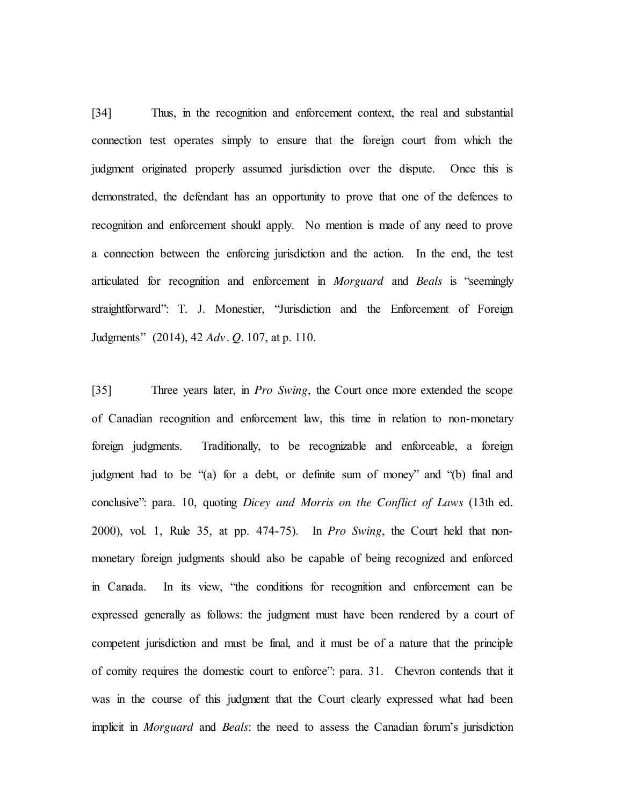[34] Thus, in the recognition and enforcement context, the real and substantial connection test operates simply to ensure that the foreign court from which the judgment originated properly assumed jurisdiction over the dispute. Once this is demonstrated, the defendant has an opportunity to prove that one of the defences to recognition and enforcement should apply. No mention is made of any need to prove a connection between the enforcing jurisdiction and the action. In the end, the test articulated for recognition and enforcement in *Morguard* and *Beals* is "seemingly straightforward": T. J. Monestier, "Jurisdiction and the Enforcement of Foreign Judgments" (2014), 42 *Adv. Q.* 107, at p. 110.

[35] Three years later, in *Pro Swing*, the Court once more extended the scope of Canadian recognition and enforcement law, this time in relation to non-monetary foreign judgments. Traditionally, to be recognizable and enforceable, a foreign judgment had to be "(a) for a debt, or definite sum of money" and "(b) final and conclusive": para. 10, quoting *Dicey and Morris on the Conflict of Laws* (13th ed. 2000), vol. 1, Rule 35, at pp. 474-75). In *Pro Swing*, the Court held that nonmonetary foreign judgments should also be capable of being recognized and enforced in Canada. In its view, "the conditions for recognition and enforcement can be expressed generally as follows: the judgment must have been rendered by a court of competent jurisdiction and must be final, and it must be of a nature that the principle of comity requires the domestic court to enforce": para. 31.Chevron contends that it was in the course of this judgment that the Court clearly expressed what had been implicit in *Morguard* and *Beals*: the need to assess the Canadian forum's jurisdiction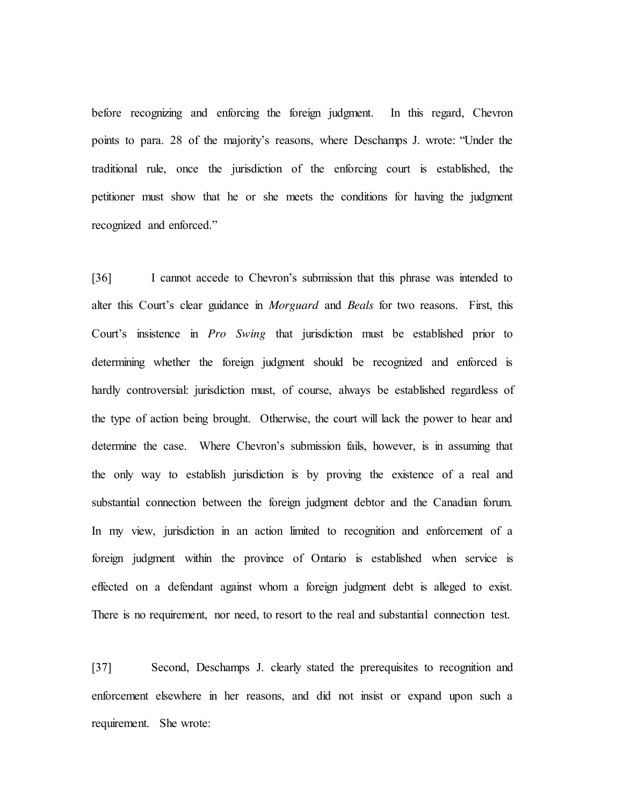before recognizing and enforcing the foreign judgment. In this regard, Chevron points to para. 28 of the majority's reasons, where Deschamps J. wrote: "Under the traditional rule, once the jurisdiction of the enforcing court is established, the petitioner must show that he or she meets the conditions for having the judgment recognized and enforced."

[36] I cannot accede to Chevron's submission that this phrase was intended to alter this Court's clear guidance in *Morguard* and *Beals* for two reasons. First, this Court's insistence in *Pro Swing* that jurisdiction must be established prior to determining whether the foreign judgment should be recognized and enforced is hardly controversial: jurisdiction must, of course, always be established regardless of the type of action being brought. Otherwise, the court will lack the power to hear and determine the case. Where Chevron's submission fails, however, is in assuming that the only way to establish jurisdiction is by proving the existence of a real and substantial connection between the foreign judgment debtor and the Canadian forum. In my view, jurisdiction in an action limited to recognition and enforcement of a foreign judgment within the province of Ontario is established when service is effected on a defendant against whom a foreign judgment debt is alleged to exist. There is no requirement, nor need, to resort to the real and substantial connection test.

[37] Second, Deschamps J. clearly stated the prerequisites to recognition and enforcement elsewhere in her reasons, and did not insist or expand upon such a requirement. She wrote: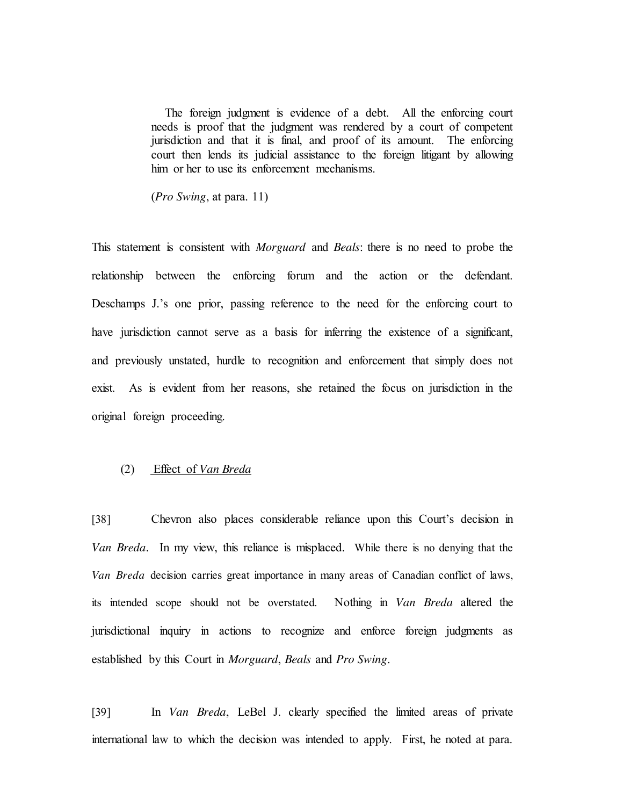The foreign judgment is evidence of a debt. All the enforcing court needs is proof that the judgment was rendered by a court of competent jurisdiction and that it is final, and proof of its amount. The enforcing court then lends its judicial assistance to the foreign litigant by allowing him or her to use its enforcement mechanisms.

(*Pro Swing*, at para. 11)

This statement is consistent with *Morguard* and *Beals*: there is no need to probe the relationship between the enforcing forum and the action or the defendant. Deschamps J.'s one prior, passing reference to the need for the enforcing court to have jurisdiction cannot serve as a basis for inferring the existence of a significant, and previously unstated, hurdle to recognition and enforcement that simply does not exist. As is evident from her reasons, she retained the focus on jurisdiction in the original foreign proceeding.

## (2) Effect of *Van Breda*

[38] Chevron also places considerable reliance upon this Court's decision in *Van Breda*. In my view, this reliance is misplaced. While there is no denying that the *Van Breda* decision carries great importance in many areas of Canadian conflict of laws, its intended scope should not be overstated. Nothing in *Van Breda* altered the jurisdictional inquiry in actions to recognize and enforce foreign judgments as established by this Court in *Morguard*, *Beals* and *Pro Swing*.

[39] In *Van Breda*, LeBel J. clearly specified the limited areas of private international law to which the decision was intended to apply. First, he noted at para.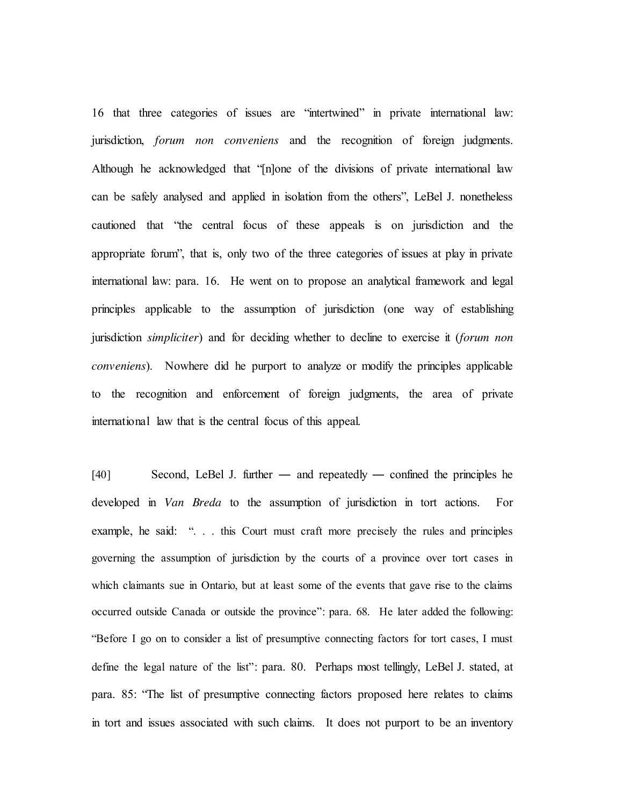16 that three categories of issues are "intertwined" in private international law: jurisdiction, *forum non conveniens* and the recognition of foreign judgments. Although he acknowledged that "[n]one of the divisions of private international law can be safely analysed and applied in isolation from the others", LeBel J. nonetheless cautioned that "the central focus of these appeals is on jurisdiction and the appropriate forum", that is, only two of the three categories of issues at play in private international law: para. 16. He went on to propose an analytical framework and legal principles applicable to the assumption of jurisdiction (one way of establishing jurisdiction *simpliciter*) and for deciding whether to decline to exercise it (*forum non conveniens*). Nowhere did he purport to analyze or modify the principles applicable to the recognition and enforcement of foreign judgments, the area of private international law that is the central focus of this appeal.

[40] Second, LeBel J. further — and repeatedly — confined the principles he developed in *Van Breda* to the assumption of jurisdiction in tort actions. For example, he said: "... this Court must craft more precisely the rules and principles governing the assumption of jurisdiction by the courts of a province over tort cases in which claimants sue in Ontario, but at least some of the events that gave rise to the claims occurred outside Canada or outside the province": para. 68. He later added the following: "Before I go on to consider a list of presumptive connecting factors for tort cases, I must define the legal nature of the list": para. 80. Perhaps most tellingly, LeBel J. stated, at para. 85: "The list of presumptive connecting factors proposed here relates to claims in tort and issues associated with such claims. It does not purport to be an inventory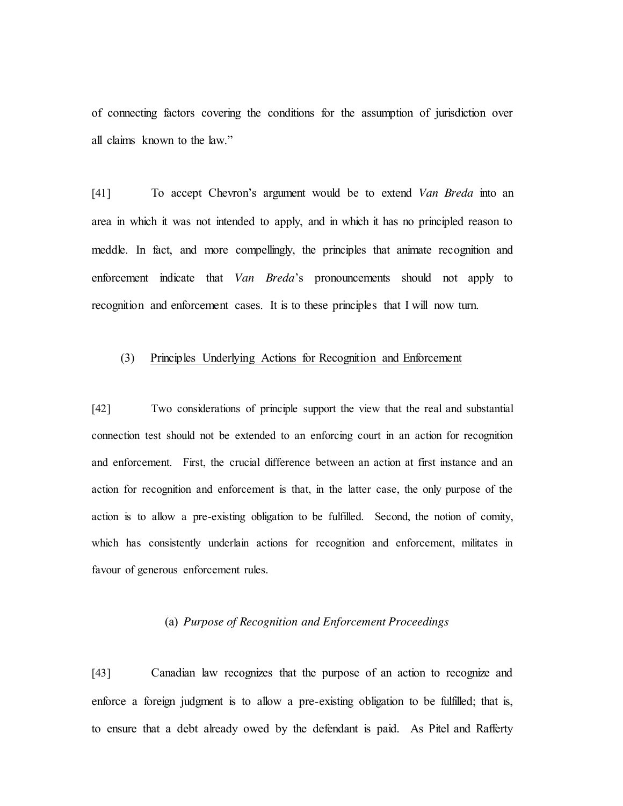of connecting factors covering the conditions for the assumption of jurisdiction over all claims known to the law."

[41] To accept Chevron's argument would be to extend *Van Breda* into an area in which it was not intended to apply, and in which it has no principled reason to meddle. In fact, and more compellingly, the principles that animate recognition and enforcement indicate that *Van Breda*'s pronouncements should not apply to recognition and enforcement cases. It is to these principles that I will now turn.

# (3) Principles Underlying Actions for Recognition and Enforcement

[42] Two considerations of principle support the view that the real and substantial connection test should not be extended to an enforcing court in an action for recognition and enforcement. First, the crucial difference between an action at first instance and an action for recognition and enforcement is that, in the latter case, the only purpose of the action is to allow a pre-existing obligation to be fulfilled. Second, the notion of comity, which has consistently underlain actions for recognition and enforcement, militates in favour of generous enforcement rules.

### (a) *Purpose of Recognition and Enforcement Proceedings*

[43] Canadian law recognizes that the purpose of an action to recognize and enforce a foreign judgment is to allow a pre-existing obligation to be fulfilled; that is, to ensure that a debt already owed by the defendant is paid. As Pitel and Rafferty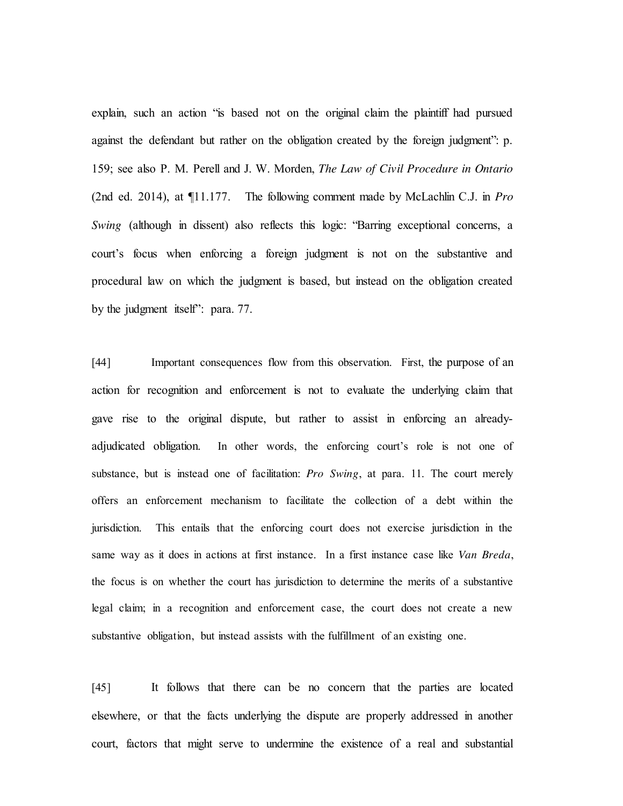explain, such an action "is based not on the original claim the plaintiff had pursued against the defendant but rather on the obligation created by the foreign judgment": p. 159; see also P. M. Perell and J. W. Morden, *The Law of Civil Procedure in Ontario* (2nd ed. 2014), at ¶11.177. The following comment made by McLachlin C.J. in *Pro Swing* (although in dissent) also reflects this logic: "Barring exceptional concerns, a court's focus when enforcing a foreign judgment is not on the substantive and procedural law on which the judgment is based, but instead on the obligation created by the judgment itself": para. 77.

[44] Important consequences flow from this observation. First, the purpose of an action for recognition and enforcement is not to evaluate the underlying claim that gave rise to the original dispute, but rather to assist in enforcing an alreadyadjudicated obligation. In other words, the enforcing court's role is not one of substance, but is instead one of facilitation: *Pro Swing*, at para. 11. The court merely offers an enforcement mechanism to facilitate the collection of a debt within the jurisdiction. This entails that the enforcing court does not exercise jurisdiction in the same way as it does in actions at first instance. In a first instance case like *Van Breda*, the focus is on whether the court has jurisdiction to determine the merits of a substantive legal claim; in a recognition and enforcement case, the court does not create a new substantive obligation, but instead assists with the fulfillment of an existing one.

[45] It follows that there can be no concern that the parties are located elsewhere, or that the facts underlying the dispute are properly addressed in another court, factors that might serve to undermine the existence of a real and substantial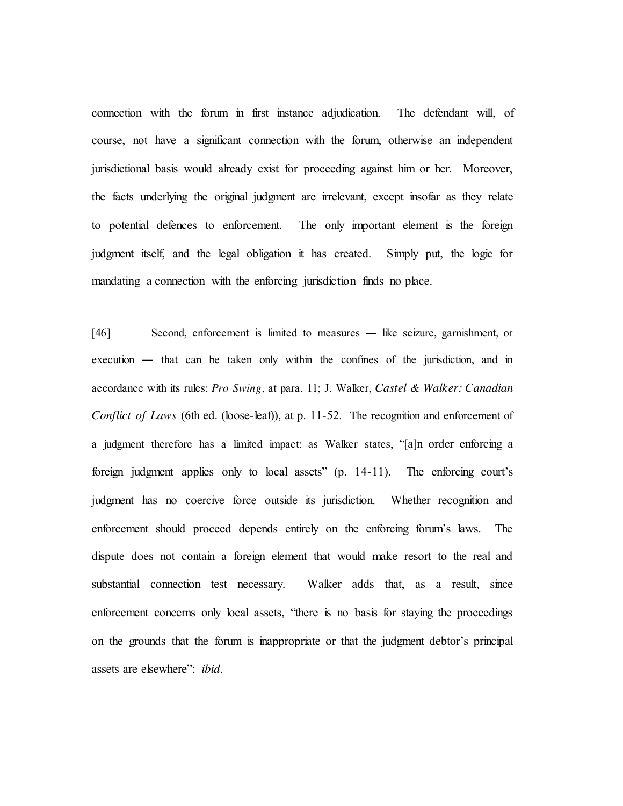connection with the forum in first instance adjudication. The defendant will, of course, not have a significant connection with the forum, otherwise an independent jurisdictional basis would already exist for proceeding against him or her. Moreover, the facts underlying the original judgment are irrelevant, except insofar as they relate to potential defences to enforcement. The only important element is the foreign judgment itself, and the legal obligation it has created. Simply put, the logic for mandating a connection with the enforcing jurisdiction finds no place.

[46] Second, enforcement is limited to measures ― like seizure, garnishment, or execution ― that can be taken only within the confines of the jurisdiction, and in accordance with its rules: *Pro Swing*, at para. 11; J. Walker, *Castel & Walker: Canadian Conflict of Laws* (6th ed. (loose-leaf)), at p. 11-52. The recognition and enforcement of a judgment therefore has a limited impact: as Walker states, "[a]n order enforcing a foreign judgment applies only to local assets" (p. 14-11). The enforcing court's judgment has no coercive force outside its jurisdiction. Whether recognition and enforcement should proceed depends entirely on the enforcing forum's laws. The dispute does not contain a foreign element that would make resort to the real and substantial connection test necessary. Walker adds that, as a result, since enforcement concerns only local assets, "there is no basis for staying the proceedings on the grounds that the forum is inappropriate or that the judgment debtor's principal assets are elsewhere": *ibid*.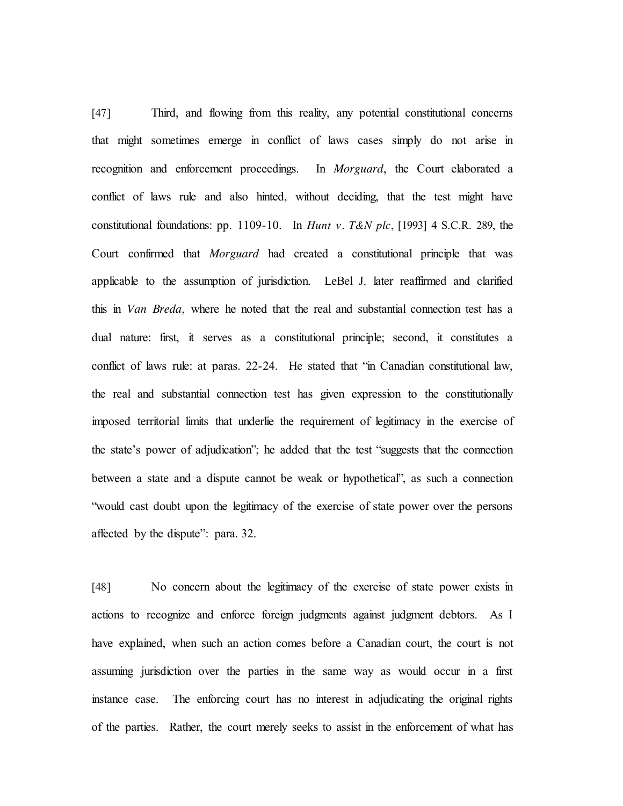[47] Third, and flowing from this reality, any potential constitutional concerns that might sometimes emerge in conflict of laws cases simply do not arise in recognition and enforcement proceedings. In *Morguard*, the Court elaborated a conflict of laws rule and also hinted, without deciding, that the test might have constitutional foundations: pp. 1109-10. In *Hunt v. T&N plc*, [1993] 4 S.C.R. 289, the Court confirmed that *Morguard* had created a constitutional principle that was applicable to the assumption of jurisdiction. LeBel J. later reaffirmed and clarified this in *Van Breda*, where he noted that the real and substantial connection test has a dual nature: first, it serves as a constitutional principle; second, it constitutes a conflict of laws rule: at paras. 22-24. He stated that "in Canadian constitutional law, the real and substantial connection test has given expression to the constitutionally imposed territorial limits that underlie the requirement of legitimacy in the exercise of the state's power of adjudication"; he added that the test "suggests that the connection between a state and a dispute cannot be weak or hypothetical", as such a connection "would cast doubt upon the legitimacy of the exercise of state power over the persons affected by the dispute": para. 32.

[48] No concern about the legitimacy of the exercise of state power exists in actions to recognize and enforce foreign judgments against judgment debtors. As I have explained, when such an action comes before a Canadian court, the court is not assuming jurisdiction over the parties in the same way as would occur in a first instance case. The enforcing court has no interest in adjudicating the original rights of the parties. Rather, the court merely seeks to assist in the enforcement of what has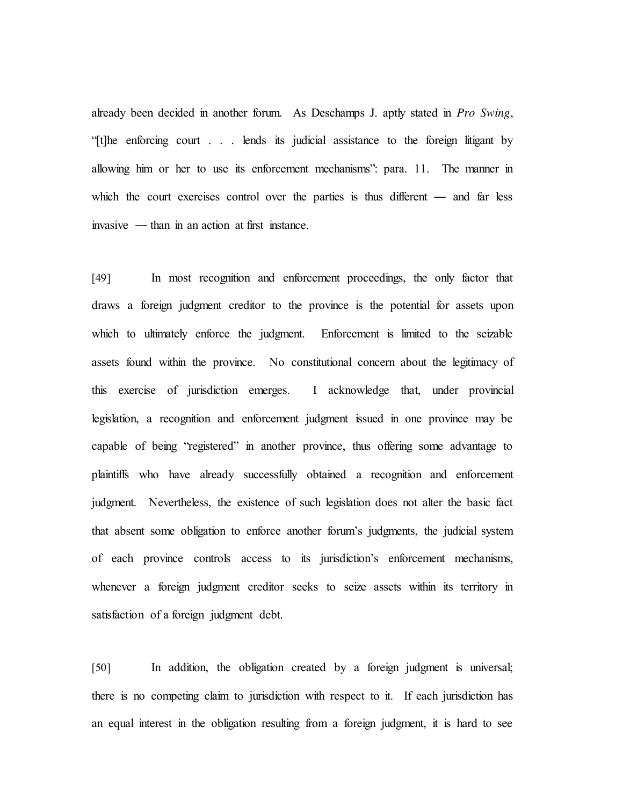already been decided in another forum. As Deschamps J. aptly stated in *Pro Swing*, "[t]he enforcing court . . . lends its judicial assistance to the foreign litigant by allowing him or her to use its enforcement mechanisms": para. 11. The manner in which the court exercises control over the parties is thus different — and far less invasive ― than in an action at first instance.

[49] In most recognition and enforcement proceedings, the only factor that draws a foreign judgment creditor to the province is the potential for assets upon which to ultimately enforce the judgment. Enforcement is limited to the seizable assets found within the province. No constitutional concern about the legitimacy of this exercise of jurisdiction emerges. I acknowledge that, under provincial legislation, a recognition and enforcement judgment issued in one province may be capable of being "registered" in another province, thus offering some advantage to plaintiffs who have already successfully obtained a recognition and enforcement judgment. Nevertheless, the existence of such legislation does not alter the basic fact that absent some obligation to enforce another forum's judgments, the judicial system of each province controls access to its jurisdiction's enforcement mechanisms, whenever a foreign judgment creditor seeks to seize assets within its territory in satisfaction of a foreign judgment debt.

[50] In addition, the obligation created by a foreign judgment is universal; there is no competing claim to jurisdiction with respect to it. If each jurisdiction has an equal interest in the obligation resulting from a foreign judgment, it is hard to see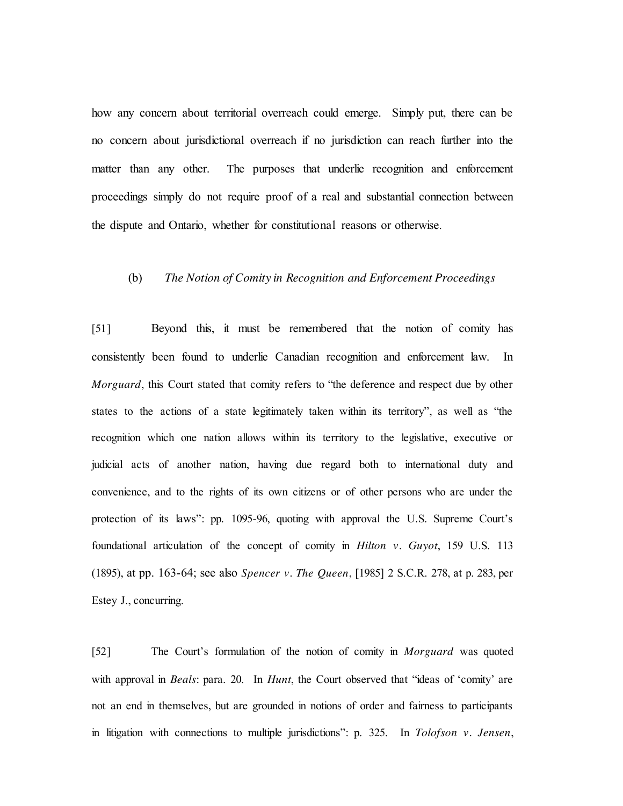how any concern about territorial overreach could emerge. Simply put, there can be no concern about jurisdictional overreach if no jurisdiction can reach further into the matter than any other. The purposes that underlie recognition and enforcement proceedings simply do not require proof of a real and substantial connection between the dispute and Ontario, whether for constitutional reasons or otherwise.

#### (b) *The Notion of Comity in Recognition and Enforcement Proceedings*

[51] Beyond this, it must be remembered that the notion of comity has consistently been found to underlie Canadian recognition and enforcement law. In *Morguard*, this Court stated that comity refers to "the deference and respect due by other states to the actions of a state legitimately taken within its territory", as well as "the recognition which one nation allows within its territory to the legislative, executive or judicial acts of another nation, having due regard both to international duty and convenience, and to the rights of its own citizens or of other persons who are under the protection of its laws": pp. 1095-96, quoting with approval the U.S. Supreme Court's foundational articulation of the concept of comity in *Hilton v. Guyot*, 159 U.S. 113 (1895), at pp. 163-64; see also *Spencer v. The Queen*, [1985] 2 S.C.R. 278, at p. 283, per Estey J., concurring.

[52] The Court's formulation of the notion of comity in *Morguard* was quoted with approval in *Beals*: para. 20. In *Hunt*, the Court observed that "ideas of 'comity' are not an end in themselves, but are grounded in notions of order and fairness to participants in litigation with connections to multiple jurisdictions": p. 325. In *Tolofson v. Jensen*,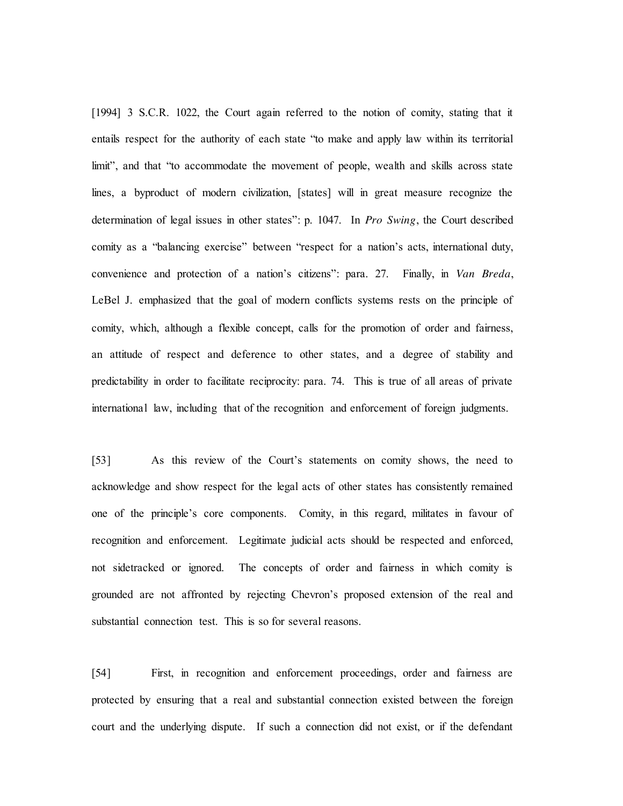[1994] 3 S.C.R. 1022, the Court again referred to the notion of comity, stating that it entails respect for the authority of each state "to make and apply law within its territorial limit", and that "to accommodate the movement of people, wealth and skills across state lines, a byproduct of modern civilization, [states] will in great measure recognize the determination of legal issues in other states": p. 1047. In *Pro Swing*, the Court described comity as a "balancing exercise" between "respect for a nation's acts, international duty, convenience and protection of a nation's citizens": para. 27. Finally, in *Van Breda*, LeBel J. emphasized that the goal of modern conflicts systems rests on the principle of comity, which, although a flexible concept, calls for the promotion of order and fairness, an attitude of respect and deference to other states, and a degree of stability and predictability in order to facilitate reciprocity: para. 74. This is true of all areas of private international law, including that of the recognition and enforcement of foreign judgments.

[53] As this review of the Court's statements on comity shows, the need to acknowledge and show respect for the legal acts of other states has consistently remained one of the principle's core components. Comity, in this regard, militates in favour of recognition and enforcement. Legitimate judicial acts should be respected and enforced, not sidetracked or ignored. The concepts of order and fairness in which comity is grounded are not affronted by rejecting Chevron's proposed extension of the real and substantial connection test. This is so for several reasons.

[54] First, in recognition and enforcement proceedings, order and fairness are protected by ensuring that a real and substantial connection existed between the foreign court and the underlying dispute. If such a connection did not exist, or if the defendant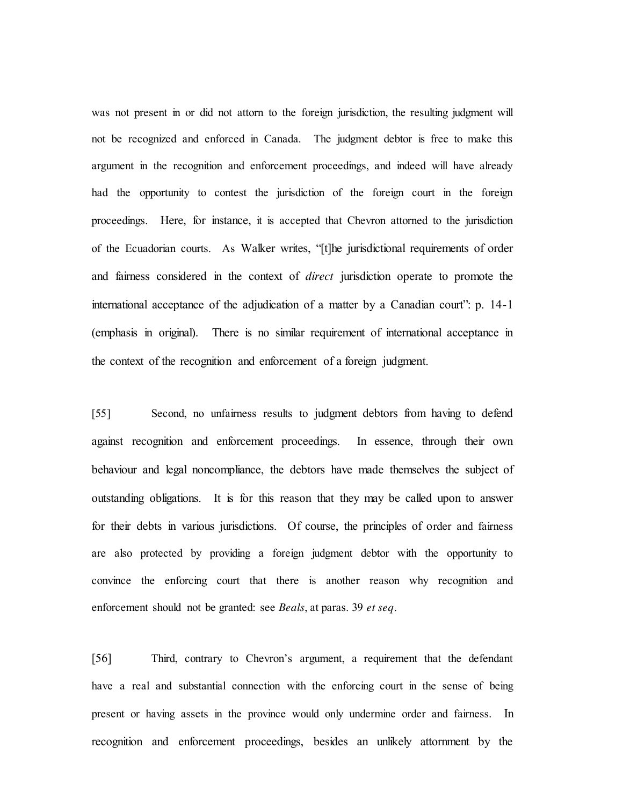was not present in or did not attorn to the foreign jurisdiction, the resulting judgment will not be recognized and enforced in Canada. The judgment debtor is free to make this argument in the recognition and enforcement proceedings, and indeed will have already had the opportunity to contest the jurisdiction of the foreign court in the foreign proceedings. Here, for instance, it is accepted that Chevron attorned to the jurisdiction of the Ecuadorian courts. As Walker writes, "[t]he jurisdictional requirements of order and fairness considered in the context of *direct* jurisdiction operate to promote the international acceptance of the adjudication of a matter by a Canadian court": p. 14-1 (emphasis in original). There is no similar requirement of international acceptance in the context of the recognition and enforcement of a foreign judgment.

[55] Second, no unfairness results to judgment debtors from having to defend against recognition and enforcement proceedings. In essence, through their own behaviour and legal noncompliance, the debtors have made themselves the subject of outstanding obligations. It is for this reason that they may be called upon to answer for their debts in various jurisdictions. Of course, the principles of order and fairness are also protected by providing a foreign judgment debtor with the opportunity to convince the enforcing court that there is another reason why recognition and enforcement should not be granted: see *Beals*, at paras. 39 *et seq*.

[56] Third, contrary to Chevron's argument, a requirement that the defendant have a real and substantial connection with the enforcing court in the sense of being present or having assets in the province would only undermine order and fairness. In recognition and enforcement proceedings, besides an unlikely attornment by the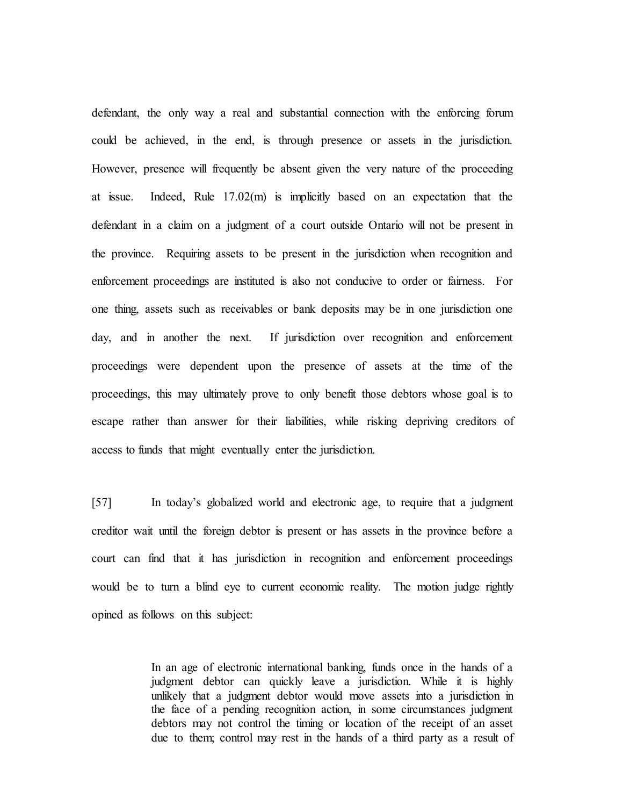defendant, the only way a real and substantial connection with the enforcing forum could be achieved, in the end, is through presence or assets in the jurisdiction. However, presence will frequently be absent given the very nature of the proceeding at issue. Indeed, Rule  $17.02(m)$  is implicitly based on an expectation that the defendant in a claim on a judgment of a court outside Ontario will not be present in the province. Requiring assets to be present in the jurisdiction when recognition and enforcement proceedings are instituted is also not conducive to order or fairness. For one thing, assets such as receivables or bank deposits may be in one jurisdiction one day, and in another the next. If jurisdiction over recognition and enforcement proceedings were dependent upon the presence of assets at the time of the proceedings, this may ultimately prove to only benefit those debtors whose goal is to escape rather than answer for their liabilities, while risking depriving creditors of access to funds that might eventually enter the jurisdiction.

[57] In today's globalized world and electronic age, to require that a judgment creditor wait until the foreign debtor is present or has assets in the province before a court can find that it has jurisdiction in recognition and enforcement proceedings would be to turn a blind eye to current economic reality. The motion judge rightly opined as follows on this subject:

> In an age of electronic international banking, funds once in the hands of a judgment debtor can quickly leave a jurisdiction. While it is highly unlikely that a judgment debtor would move assets into a jurisdiction in the face of a pending recognition action, in some circumstances judgment debtors may not control the timing or location of the receipt of an asset due to them; control may rest in the hands of a third party as a result of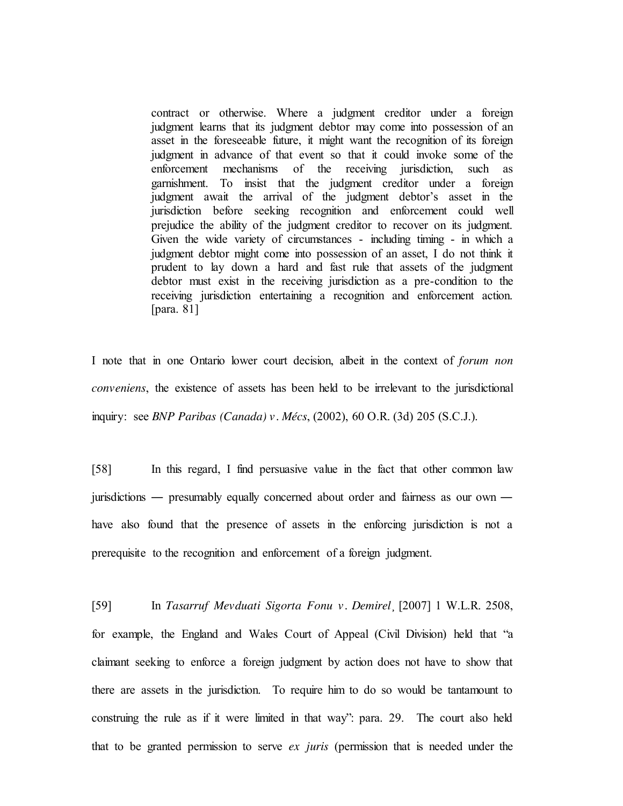contract or otherwise. Where a judgment creditor under a foreign judgment learns that its judgment debtor may come into possession of an asset in the foreseeable future, it might want the recognition of its foreign judgment in advance of that event so that it could invoke some of the enforcement mechanisms of the receiving jurisdiction, such as garnishment. To insist that the judgment creditor under a foreign judgment await the arrival of the judgment debtor's asset in the jurisdiction before seeking recognition and enforcement could well prejudice the ability of the judgment creditor to recover on its judgment. Given the wide variety of circumstances - including timing - in which a judgment debtor might come into possession of an asset, I do not think it prudent to lay down a hard and fast rule that assets of the judgment debtor must exist in the receiving jurisdiction as a pre-condition to the receiving jurisdiction entertaining a recognition and enforcement action. [para. 81]

I note that in one Ontario lower court decision, albeit in the context of *forum non conveniens*, the existence of assets has been held to be irrelevant to the jurisdictional inquiry: see *BNP Paribas (Canada) v. Mécs*, (2002), 60 O.R. (3d) 205 (S.C.J.).

[58] In this regard, I find persuasive value in the fact that other common law jurisdictions ― presumably equally concerned about order and fairness as our own ― have also found that the presence of assets in the enforcing jurisdiction is not a prerequisite to the recognition and enforcement of a foreign judgment.

[59] In *Tasarruf Mevduati Sigorta Fonu v. Demirel*¸ [2007] 1 W.L.R. 2508, for example, the England and Wales Court of Appeal (Civil Division) held that "a claimant seeking to enforce a foreign judgment by action does not have to show that there are assets in the jurisdiction. To require him to do so would be tantamount to construing the rule as if it were limited in that way": para. 29. The court also held that to be granted permission to serve *ex juris* (permission that is needed under the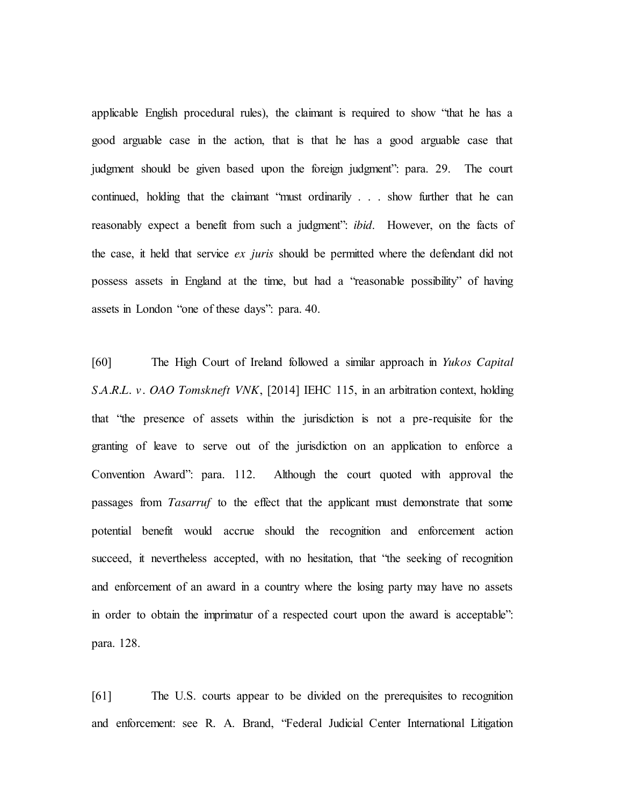applicable English procedural rules), the claimant is required to show "that he has a good arguable case in the action, that is that he has a good arguable case that judgment should be given based upon the foreign judgment": para. 29. The court continued, holding that the claimant "must ordinarily . . . show further that he can reasonably expect a benefit from such a judgment": *ibid*. However, on the facts of the case, it held that service *ex juris* should be permitted where the defendant did not possess assets in England at the time, but had a "reasonable possibility" of having assets in London "one of these days": para. 40.

[60] The High Court of Ireland followed a similar approach in *Yukos Capital S.A.R.L. v. OAO Tomskneft VNK*, [2014] IEHC 115, in an arbitration context, holding that "the presence of assets within the jurisdiction is not a pre-requisite for the granting of leave to serve out of the jurisdiction on an application to enforce a Convention Award": para. 112. Although the court quoted with approval the passages from *Tasarruf* to the effect that the applicant must demonstrate that some potential benefit would accrue should the recognition and enforcement action succeed, it nevertheless accepted, with no hesitation, that "the seeking of recognition and enforcement of an award in a country where the losing party may have no assets in order to obtain the imprimatur of a respected court upon the award is acceptable": para. 128.

[61] The U.S. courts appear to be divided on the prerequisites to recognition and enforcement: see R. A. Brand, "Federal Judicial Center International Litigation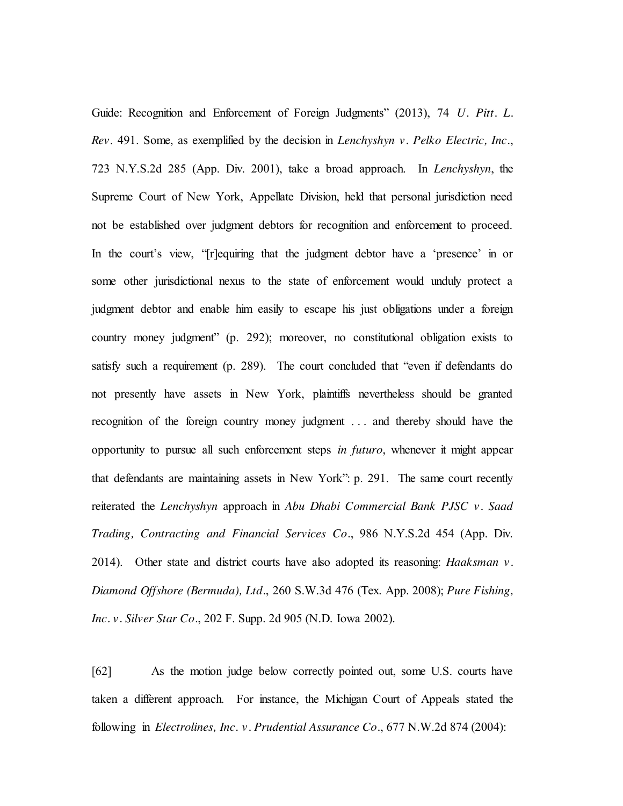Guide: Recognition and Enforcement of Foreign Judgments" (2013), 74 *U. Pitt. L. Rev*. 491. Some, as exemplified by the decision in *Lenchyshyn v. Pelko Electric, Inc.*, 723 N.Y.S.2d 285 (App. Div. 2001), take a broad approach. In *Lenchyshyn*, the Supreme Court of New York, Appellate Division, held that personal jurisdiction need not be established over judgment debtors for recognition and enforcement to proceed. In the court's view, "[r]equiring that the judgment debtor have a 'presence' in or some other jurisdictional nexus to the state of enforcement would unduly protect a judgment debtor and enable him easily to escape his just obligations under a foreign country money judgment" (p. 292); moreover, no constitutional obligation exists to satisfy such a requirement (p. 289). The court concluded that "even if defendants do not presently have assets in New York, plaintiffs nevertheless should be granted recognition of the foreign country money judgment . . . and thereby should have the opportunity to pursue all such enforcement steps *in futuro*, whenever it might appear that defendants are maintaining assets in New York": p. 291. The same court recently reiterated the *Lenchyshyn* approach in *Abu Dhabi Commercial Bank PJSC v. Saad Trading, Contracting and Financial Services Co.*, 986 N.Y.S.2d 454 (App. Div. 2014). Other state and district courts have also adopted its reasoning: *Haaksman v. Diamond Offshore (Bermuda), Ltd.*, 260 S.W.3d 476 (Tex. App. 2008); *Pure Fishing, Inc. v. Silver Star Co.*, 202 F. Supp. 2d 905 (N.D. Iowa 2002).

[62] As the motion judge below correctly pointed out, some U.S. courts have taken a different approach. For instance, the Michigan Court of Appeals stated the following in *Electrolines, Inc. v. Prudential Assurance Co.*, 677 N.W.2d 874 (2004):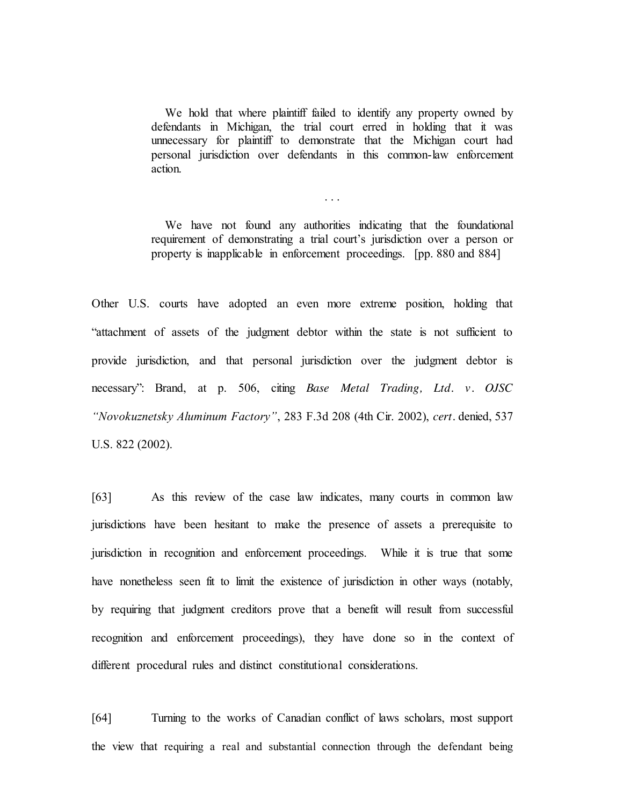We hold that where plaintiff failed to identify any property owned by defendants in Michigan, the trial court erred in holding that it was unnecessary for plaintiff to demonstrate that the Michigan court had personal jurisdiction over defendants in this common-law enforcement action.

We have not found any authorities indicating that the foundational requirement of demonstrating a trial court's jurisdiction over a person or property is inapplicable in enforcement proceedings. [pp. 880 and 884]

. . .

Other U.S. courts have adopted an even more extreme position, holding that "attachment of assets of the judgment debtor within the state is not sufficient to provide jurisdiction, and that personal jurisdiction over the judgment debtor is necessary": Brand, at p. 506, citing *Base Metal Trading, Ltd. v. OJSC "Novokuznetsky Aluminum Factory"*, 283 F.3d 208 (4th Cir. 2002), *cert.* denied, 537 U.S. 822 (2002).

[63] As this review of the case law indicates, many courts in common law jurisdictions have been hesitant to make the presence of assets a prerequisite to jurisdiction in recognition and enforcement proceedings. While it is true that some have nonetheless seen fit to limit the existence of jurisdiction in other ways (notably, by requiring that judgment creditors prove that a benefit will result from successful recognition and enforcement proceedings), they have done so in the context of different procedural rules and distinct constitutional considerations.

[64] Turning to the works of Canadian conflict of laws scholars, most support the view that requiring a real and substantial connection through the defendant being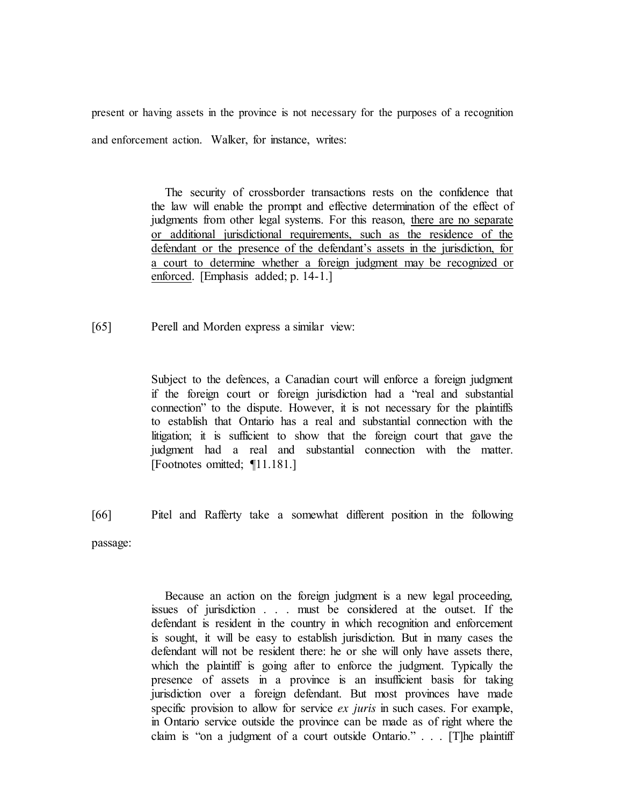present or having assets in the province is not necessary for the purposes of a recognition and enforcement action. Walker, for instance, writes:

> The security of crossborder transactions rests on the confidence that the law will enable the prompt and effective determination of the effect of judgments from other legal systems. For this reason, there are no separate or additional jurisdictional requirements, such as the residence of the defendant or the presence of the defendant's assets in the jurisdiction, for a court to determine whether a foreign judgment may be recognized or enforced. [Emphasis added; p. 14-1.]

[65] Perell and Morden express a similar view:

Subject to the defences, a Canadian court will enforce a foreign judgment if the foreign court or foreign jurisdiction had a "real and substantial connection" to the dispute. However, it is not necessary for the plaintiffs to establish that Ontario has a real and substantial connection with the litigation; it is sufficient to show that the foreign court that gave the judgment had a real and substantial connection with the matter. [Footnotes omitted; ¶11.181.]

[66] Pitel and Rafferty take a somewhat different position in the following passage:

> Because an action on the foreign judgment is a new legal proceeding, issues of jurisdiction . . . must be considered at the outset. If the defendant is resident in the country in which recognition and enforcement is sought, it will be easy to establish jurisdiction. But in many cases the defendant will not be resident there: he or she will only have assets there, which the plaintiff is going after to enforce the judgment. Typically the presence of assets in a province is an insufficient basis for taking jurisdiction over a foreign defendant. But most provinces have made specific provision to allow for service *ex juris* in such cases. For example, in Ontario service outside the province can be made as of right where the claim is "on a judgment of a court outside Ontario." . . . [T]he plaintiff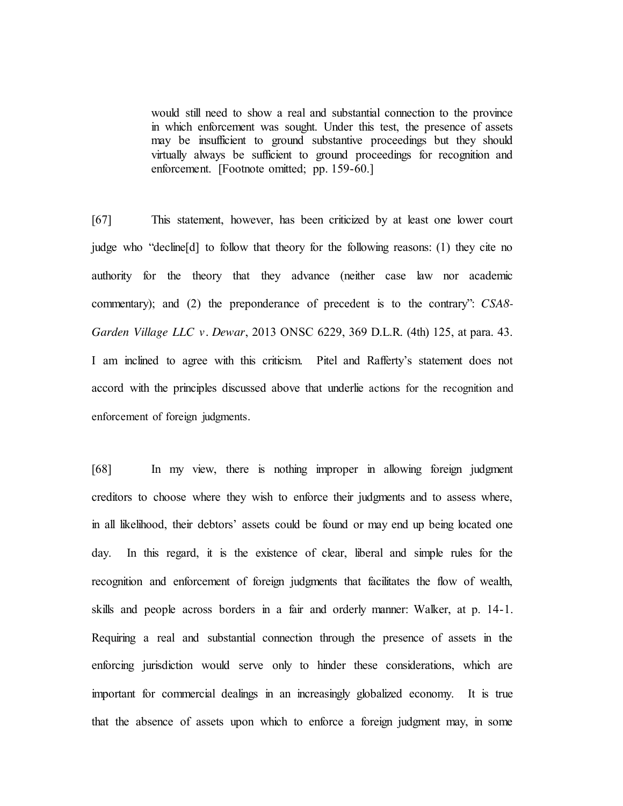would still need to show a real and substantial connection to the province in which enforcement was sought. Under this test, the presence of assets may be insufficient to ground substantive proceedings but they should virtually always be sufficient to ground proceedings for recognition and enforcement. [Footnote omitted; pp. 159-60.]

[67] This statement, however, has been criticized by at least one lower court judge who "decline[d] to follow that theory for the following reasons: (1) they cite no authority for the theory that they advance (neither case law nor academic commentary); and (2) the preponderance of precedent is to the contrary": *CSA8- Garden Village LLC v. Dewar*, 2013 ONSC 6229, 369 D.L.R. (4th) 125, at para. 43. I am inclined to agree with this criticism. Pitel and Rafferty's statement does not accord with the principles discussed above that underlie actions for the recognition and enforcement of foreign judgments.

[68] In my view, there is nothing improper in allowing foreign judgment creditors to choose where they wish to enforce their judgments and to assess where, in all likelihood, their debtors' assets could be found or may end up being located one day. In this regard, it is the existence of clear, liberal and simple rules for the recognition and enforcement of foreign judgments that facilitates the flow of wealth, skills and people across borders in a fair and orderly manner: Walker, at p. 14-1. Requiring a real and substantial connection through the presence of assets in the enforcing jurisdiction would serve only to hinder these considerations, which are important for commercial dealings in an increasingly globalized economy. It is true that the absence of assets upon which to enforce a foreign judgment may, in some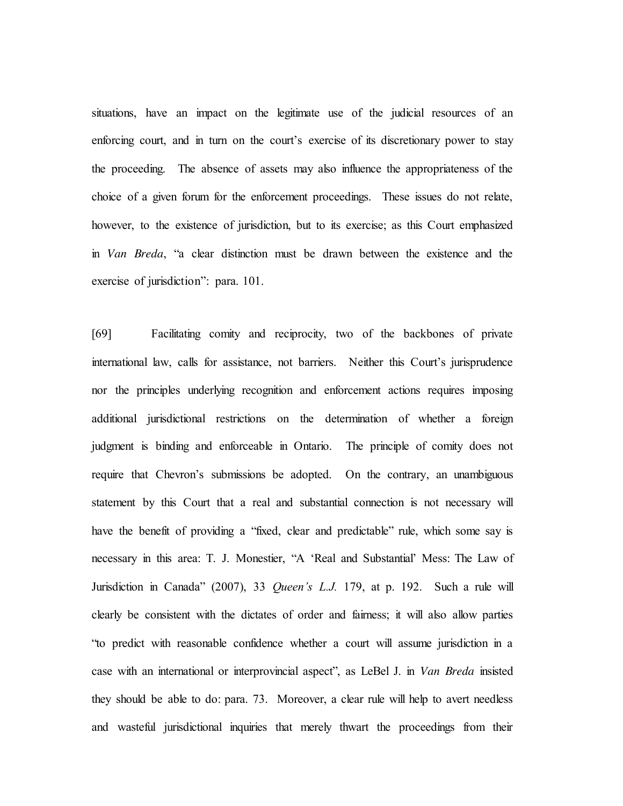situations, have an impact on the legitimate use of the judicial resources of an enforcing court, and in turn on the court's exercise of its discretionary power to stay the proceeding. The absence of assets may also influence the appropriateness of the choice of a given forum for the enforcement proceedings. These issues do not relate, however, to the existence of jurisdiction, but to its exercise; as this Court emphasized in *Van Breda*, "a clear distinction must be drawn between the existence and the exercise of jurisdiction": para. 101.

[69] Facilitating comity and reciprocity, two of the backbones of private international law, calls for assistance, not barriers. Neither this Court's jurisprudence nor the principles underlying recognition and enforcement actions requires imposing additional jurisdictional restrictions on the determination of whether a foreign judgment is binding and enforceable in Ontario. The principle of comity does not require that Chevron's submissions be adopted. On the contrary, an unambiguous statement by this Court that a real and substantial connection is not necessary will have the benefit of providing a "fixed, clear and predictable" rule, which some say is necessary in this area: T. J. Monestier, "A 'Real and Substantial' Mess: The Law of Jurisdiction in Canada" (2007), 33 *Queen's L.J.* 179, at p. 192. Such a rule will clearly be consistent with the dictates of order and fairness; it will also allow parties "to predict with reasonable confidence whether a court will assume jurisdiction in a case with an international or interprovincial aspect", as LeBel J. in *Van Breda* insisted they should be able to do: para. 73. Moreover, a clear rule will help to avert needless and wasteful jurisdictional inquiries that merely thwart the proceedings from their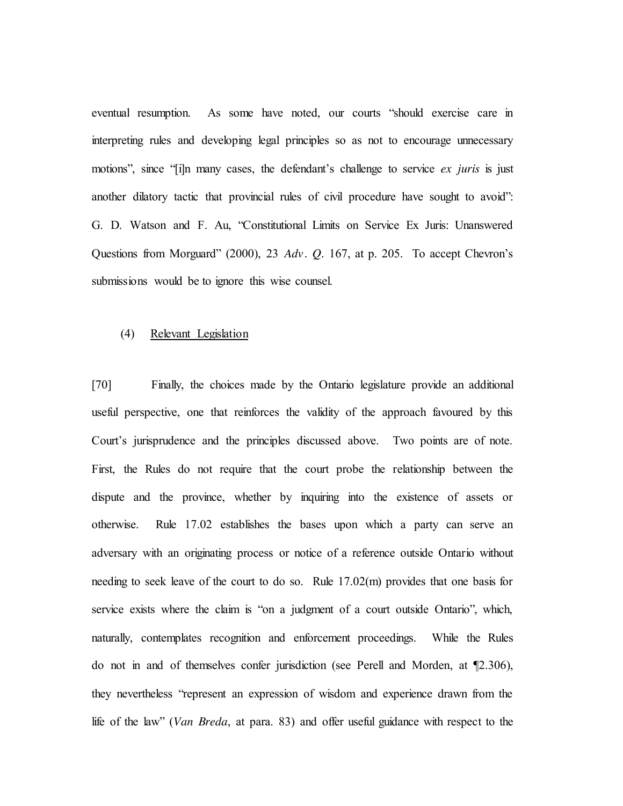eventual resumption. As some have noted, our courts "should exercise care in interpreting rules and developing legal principles so as not to encourage unnecessary motions", since "[i]n many cases, the defendant's challenge to service *ex juris* is just another dilatory tactic that provincial rules of civil procedure have sought to avoid": G. D. Watson and F. Au, "Constitutional Limits on Service Ex Juris: Unanswered Questions from Morguard" (2000), 23 *Adv. Q.* 167, at p. 205. To accept Chevron's submissions would be to ignore this wise counsel.

### (4) Relevant Legislation

[70] Finally, the choices made by the Ontario legislature provide an additional useful perspective, one that reinforces the validity of the approach favoured by this Court's jurisprudence and the principles discussed above. Two points are of note. First, the Rules do not require that the court probe the relationship between the dispute and the province, whether by inquiring into the existence of assets or otherwise. Rule 17.02 establishes the bases upon which a party can serve an adversary with an originating process or notice of a reference outside Ontario without needing to seek leave of the court to do so. Rule 17.02(m) provides that one basis for service exists where the claim is "on a judgment of a court outside Ontario", which, naturally, contemplates recognition and enforcement proceedings. While the Rules do not in and of themselves confer jurisdiction (see Perell and Morden, at ¶2.306), they nevertheless "represent an expression of wisdom and experience drawn from the life of the law" (*Van Breda*, at para. 83) and offer useful guidance with respect to the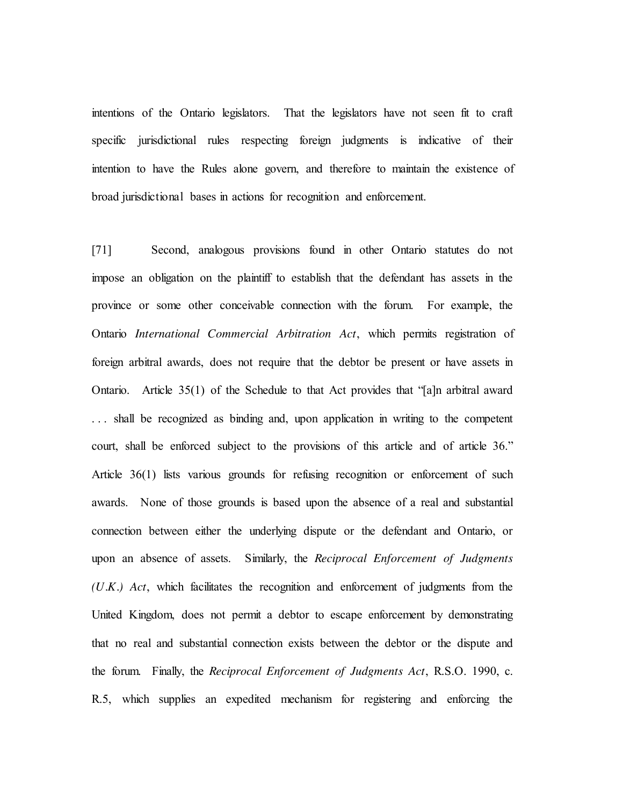intentions of the Ontario legislators. That the legislators have not seen fit to craft specific jurisdictional rules respecting foreign judgments is indicative of their intention to have the Rules alone govern, and therefore to maintain the existence of broad jurisdictional bases in actions for recognition and enforcement.

[71] Second, analogous provisions found in other Ontario statutes do not impose an obligation on the plaintiff to establish that the defendant has assets in the province or some other conceivable connection with the forum. For example, the Ontario *International Commercial Arbitration Act*, which permits registration of foreign arbitral awards, does not require that the debtor be present or have assets in Ontario. Article 35(1) of the Schedule to that Act provides that "[a]n arbitral award . . . shall be recognized as binding and, upon application in writing to the competent court, shall be enforced subject to the provisions of this article and of article 36." Article 36(1) lists various grounds for refusing recognition or enforcement of such awards. None of those grounds is based upon the absence of a real and substantial connection between either the underlying dispute or the defendant and Ontario, or upon an absence of assets. Similarly, the *Reciprocal Enforcement of Judgments (U.K.) Act*, which facilitates the recognition and enforcement of judgments from the United Kingdom, does not permit a debtor to escape enforcement by demonstrating that no real and substantial connection exists between the debtor or the dispute and the forum. Finally, the *Reciprocal Enforcement of Judgments Act*, R.S.O. 1990, c. R.5, which supplies an expedited mechanism for registering and enforcing the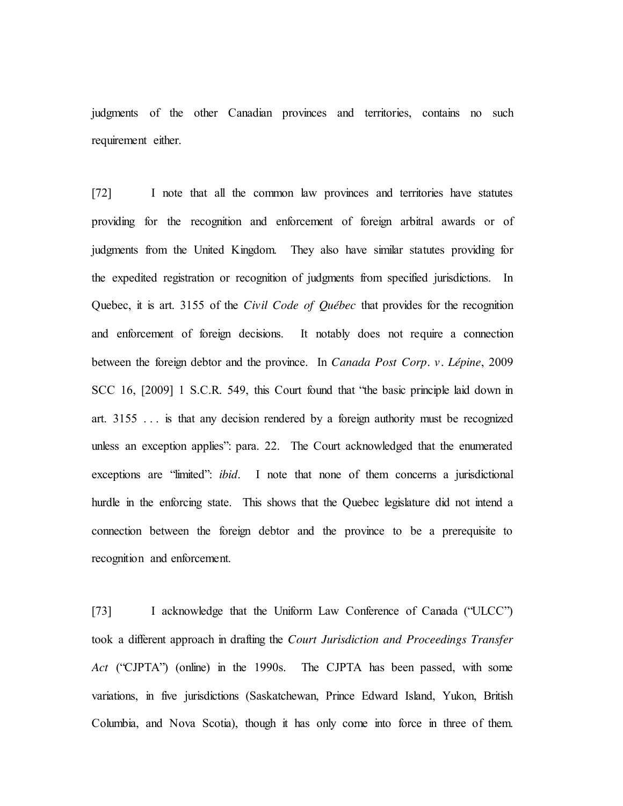judgments of the other Canadian provinces and territories, contains no such requirement either.

[72] I note that all the common law provinces and territories have statutes providing for the recognition and enforcement of foreign arbitral awards or of judgments from the United Kingdom. They also have similar statutes providing for the expedited registration or recognition of judgments from specified jurisdictions. In Quebec, it is art. 3155 of the *Civil Code of Québec* that provides for the recognition and enforcement of foreign decisions. It notably does not require a connection between the foreign debtor and the province. In *Canada Post Corp. v. Lépine*, 2009 SCC 16, [2009] 1 S.C.R. 549, this Court found that "the basic principle laid down in art. 3155 . . . is that any decision rendered by a foreign authority must be recognized unless an exception applies": para. 22. The Court acknowledged that the enumerated exceptions are "limited": *ibid*. I note that none of them concerns a jurisdictional hurdle in the enforcing state. This shows that the Quebec legislature did not intend a connection between the foreign debtor and the province to be a prerequisite to recognition and enforcement.

[73] I acknowledge that the Uniform Law Conference of Canada ("ULCC") took a different approach in drafting the *Court Jurisdiction and Proceedings Transfer Act* ("CJPTA") (online) in the 1990s. The CJPTA has been passed, with some variations, in five jurisdictions (Saskatchewan, Prince Edward Island, Yukon, British Columbia, and Nova Scotia), though it has only come into force in three of them.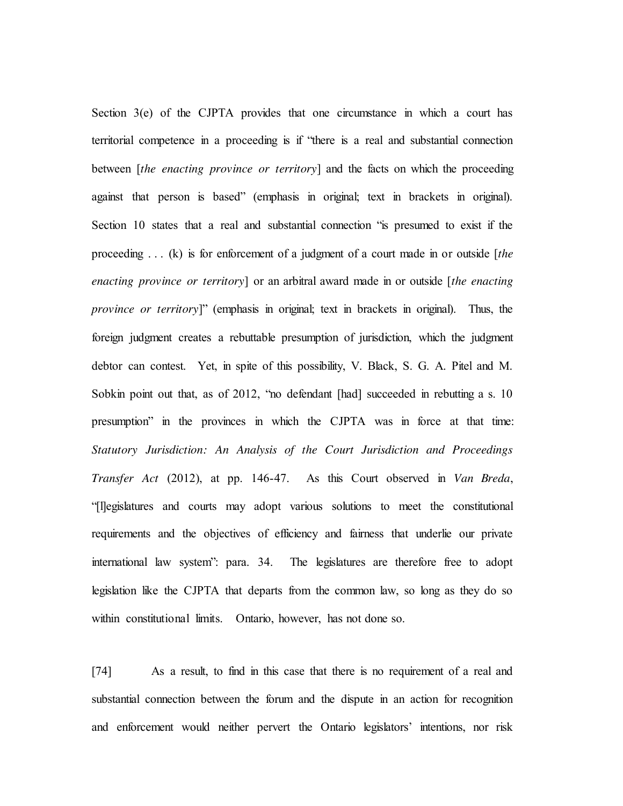Section 3(e) of the CJPTA provides that one circumstance in which a court has territorial competence in a proceeding is if "there is a real and substantial connection between [*the enacting province or territory*] and the facts on which the proceeding against that person is based" (emphasis in original; text in brackets in original). Section 10 states that a real and substantial connection "is presumed to exist if the proceeding . . . (k) is for enforcement of a judgment of a court made in or outside [*the enacting province or territory*] or an arbitral award made in or outside [*the enacting province or territory*]" (emphasis in original; text in brackets in original). Thus, the foreign judgment creates a rebuttable presumption of jurisdiction, which the judgment debtor can contest. Yet, in spite of this possibility, V. Black, S. G. A. Pitel and M. Sobkin point out that, as of 2012, "no defendant [had] succeeded in rebutting a s. 10 presumption" in the provinces in which the CJPTA was in force at that time: *Statutory Jurisdiction: An Analysis of the Court Jurisdiction and Proceedings Transfer Act* (2012), at pp. 146-47. As this Court observed in *Van Breda*, "[l]egislatures and courts may adopt various solutions to meet the constitutional requirements and the objectives of efficiency and fairness that underlie our private international law system": para. 34. The legislatures are therefore free to adopt legislation like the CJPTA that departs from the common law, so long as they do so within constitutional limits. Ontario, however, has not done so.

[74] As a result, to find in this case that there is no requirement of a real and substantial connection between the forum and the dispute in an action for recognition and enforcement would neither pervert the Ontario legislators' intentions, nor risk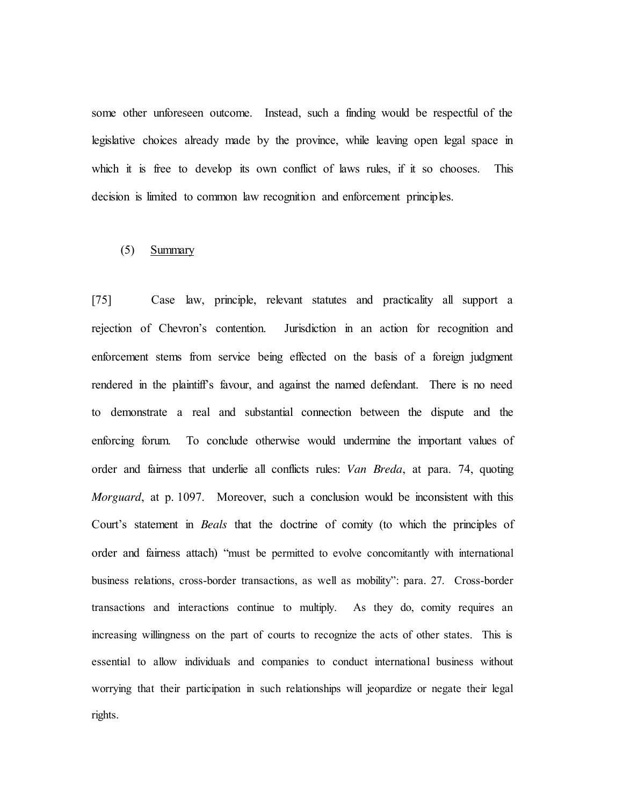some other unforeseen outcome. Instead, such a finding would be respectful of the legislative choices already made by the province, while leaving open legal space in which it is free to develop its own conflict of laws rules, if it so chooses. This decision is limited to common law recognition and enforcement principles.

### (5) Summary

[75] Case law, principle, relevant statutes and practicality all support a rejection of Chevron's contention. Jurisdiction in an action for recognition and enforcement stems from service being effected on the basis of a foreign judgment rendered in the plaintiff's favour, and against the named defendant. There is no need to demonstrate a real and substantial connection between the dispute and the enforcing forum. To conclude otherwise would undermine the important values of order and fairness that underlie all conflicts rules: *Van Breda*, at para. 74, quoting *Morguard*, at p. 1097. Moreover, such a conclusion would be inconsistent with this Court's statement in *Beals* that the doctrine of comity (to which the principles of order and fairness attach) "must be permitted to evolve concomitantly with international business relations, cross-border transactions, as well as mobility": para. 27.Cross-border transactions and interactions continue to multiply. As they do, comity requires an increasing willingness on the part of courts to recognize the acts of other states. This is essential to allow individuals and companies to conduct international business without worrying that their participation in such relationships will jeopardize or negate their legal rights.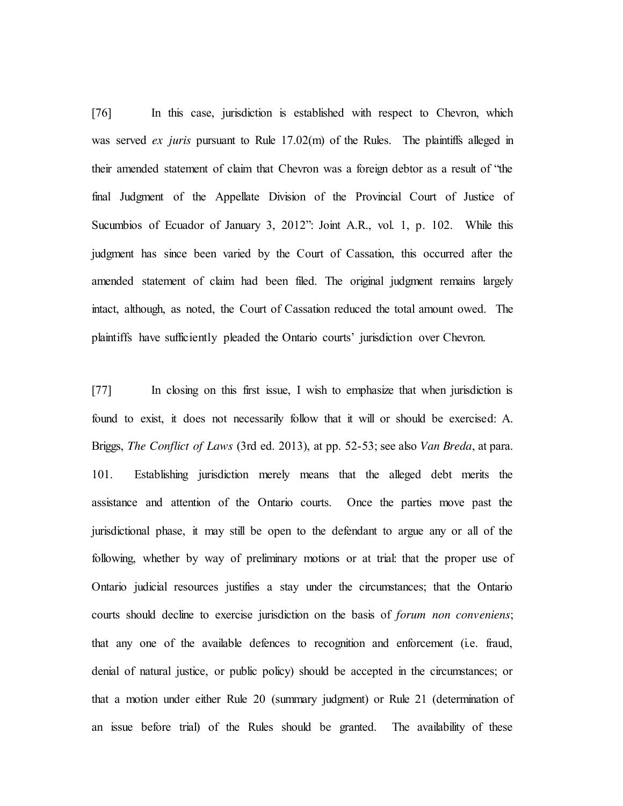[76] In this case, jurisdiction is established with respect to Chevron, which was served *ex juris* pursuant to Rule 17.02(m) of the Rules. The plaintiffs alleged in their amended statement of claim that Chevron was a foreign debtor as a result of "the final Judgment of the Appellate Division of the Provincial Court of Justice of Sucumbios of Ecuador of January 3, 2012": Joint A.R., vol. 1, p. 102. While this judgment has since been varied by the Court of Cassation, this occurred after the amended statement of claim had been filed. The original judgment remains largely intact, although, as noted, the Court of Cassation reduced the total amount owed. The plaintiffs have sufficiently pleaded the Ontario courts' jurisdiction over Chevron.

[77] In closing on this first issue, I wish to emphasize that when jurisdiction is found to exist, it does not necessarily follow that it will or should be exercised: A. Briggs, *The Conflict of Laws* (3rd ed. 2013), at pp. 52-53; see also *Van Breda*, at para. 101. Establishing jurisdiction merely means that the alleged debt merits the assistance and attention of the Ontario courts. Once the parties move past the jurisdictional phase, it may still be open to the defendant to argue any or all of the following, whether by way of preliminary motions or at trial: that the proper use of Ontario judicial resources justifies a stay under the circumstances; that the Ontario courts should decline to exercise jurisdiction on the basis of *forum non conveniens*; that any one of the available defences to recognition and enforcement (i.e. fraud, denial of natural justice, or public policy) should be accepted in the circumstances; or that a motion under either Rule 20 (summary judgment) or Rule 21 (determination of an issue before trial) of the Rules should be granted. The availability of these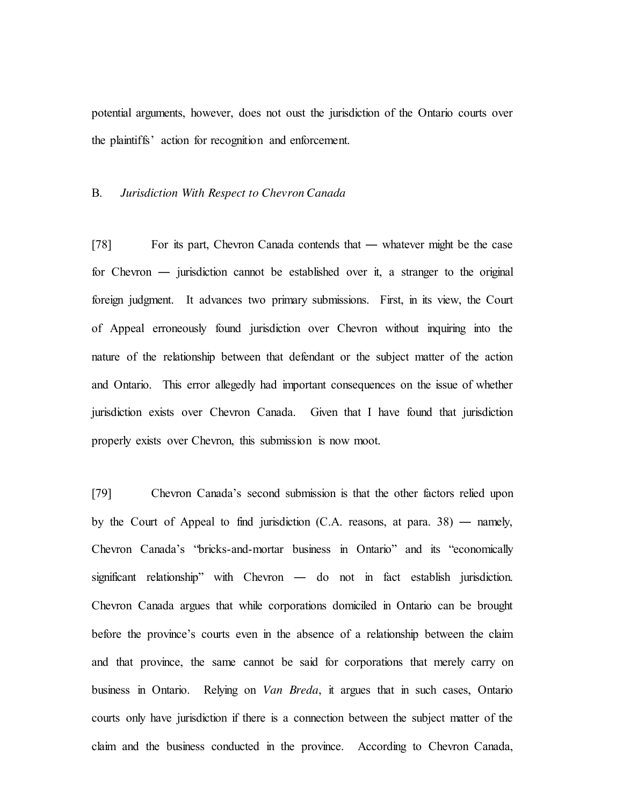potential arguments, however, does not oust the jurisdiction of the Ontario courts over the plaintiffs' action for recognition and enforcement.

### B. *Jurisdiction With Respect to Chevron Canada*

[78] For its part, Chevron Canada contends that — whatever might be the case for Chevron ― jurisdiction cannot be established over it, a stranger to the original foreign judgment. It advances two primary submissions. First, in its view, the Court of Appeal erroneously found jurisdiction over Chevron without inquiring into the nature of the relationship between that defendant or the subject matter of the action and Ontario. This error allegedly had important consequences on the issue of whether jurisdiction exists over Chevron Canada. Given that I have found that jurisdiction properly exists over Chevron, this submission is now moot.

[79] Chevron Canada's second submission is that the other factors relied upon by the Court of Appeal to find jurisdiction  $(C.A.$  reasons, at para. 38) — namely, Chevron Canada's "bricks-and-mortar business in Ontario" and its "economically significant relationship" with Chevron ― do not in fact establish jurisdiction. Chevron Canada argues that while corporations domiciled in Ontario can be brought before the province's courts even in the absence of a relationship between the claim and that province, the same cannot be said for corporations that merely carry on business in Ontario. Relying on *Van Breda*, it argues that in such cases, Ontario courts only have jurisdiction if there is a connection between the subject matter of the claim and the business conducted in the province. According to Chevron Canada,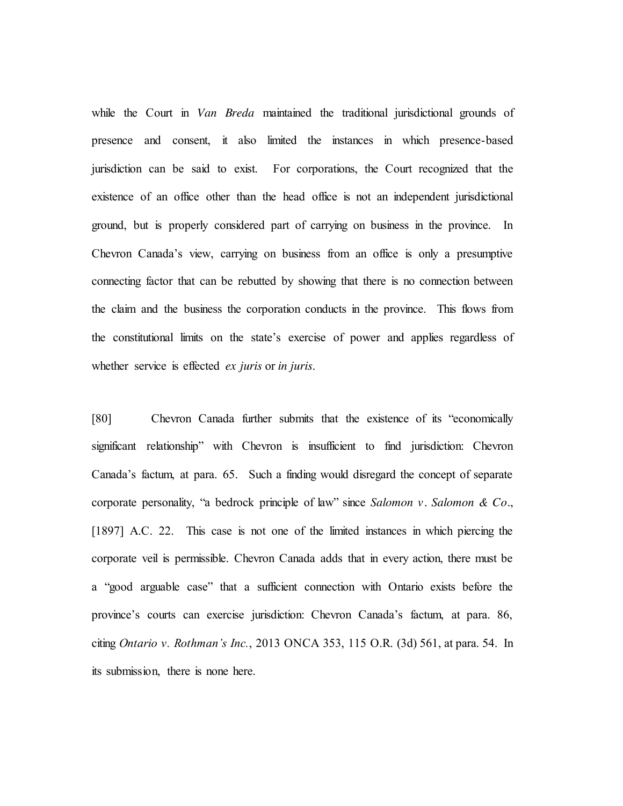while the Court in *Van Breda* maintained the traditional jurisdictional grounds of presence and consent, it also limited the instances in which presence-based jurisdiction can be said to exist. For corporations, the Court recognized that the existence of an office other than the head office is not an independent jurisdictional ground, but is properly considered part of carrying on business in the province. In Chevron Canada's view, carrying on business from an office is only a presumptive connecting factor that can be rebutted by showing that there is no connection between the claim and the business the corporation conducts in the province. This flows from the constitutional limits on the state's exercise of power and applies regardless of whether service is effected *ex juris* or *in juris*.

[80] Chevron Canada further submits that the existence of its "economically significant relationship" with Chevron is insufficient to find jurisdiction: Chevron Canada's factum, at para. 65. Such a finding would disregard the concept of separate corporate personality, "a bedrock principle of law" since *Salomon v. Salomon & Co.*, [1897] A.C. 22. This case is not one of the limited instances in which piercing the corporate veil is permissible. Chevron Canada adds that in every action, there must be a "good arguable case" that a sufficient connection with Ontario exists before the province's courts can exercise jurisdiction: Chevron Canada's factum, at para. 86, citing *Ontario v. Rothman's Inc.*, 2013 ONCA 353, 115 O.R. (3d) 561, at para. 54. In its submission, there is none here.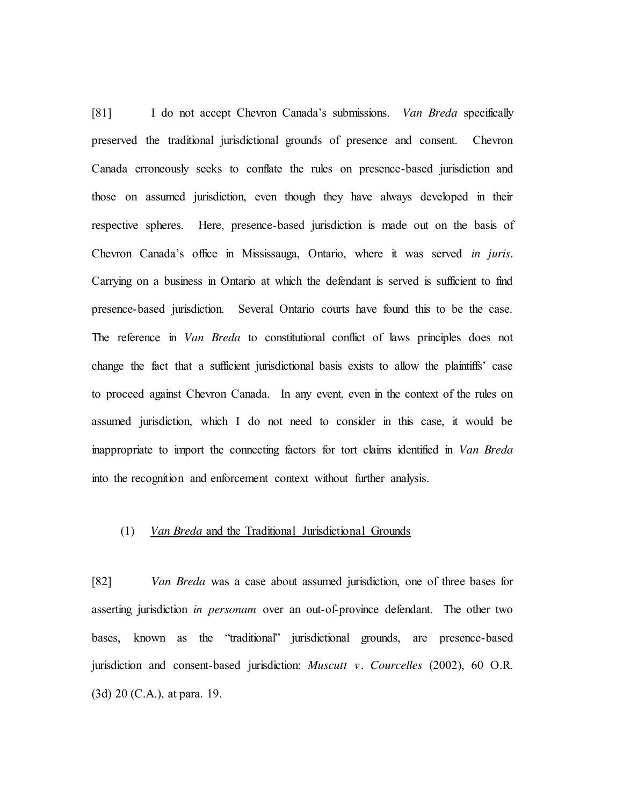[81] I do not accept Chevron Canada's submissions. *Van Breda* specifically preserved the traditional jurisdictional grounds of presence and consent. Chevron Canada erroneously seeks to conflate the rules on presence-based jurisdiction and those on assumed jurisdiction, even though they have always developed in their respective spheres. Here, presence-based jurisdiction is made out on the basis of Chevron Canada's office in Mississauga, Ontario, where it was served *in juris*. Carrying on a business in Ontario at which the defendant is served is sufficient to find presence-based jurisdiction. Several Ontario courts have found this to be the case. The reference in *Van Breda* to constitutional conflict of laws principles does not change the fact that a sufficient jurisdictional basis exists to allow the plaintiffs' case to proceed against Chevron Canada. In any event, even in the context of the rules on assumed jurisdiction, which I do not need to consider in this case, it would be inappropriate to import the connecting factors for tort claims identified in *Van Breda* into the recognition and enforcement context without further analysis.

## (1) *Van Breda* and the Traditional Jurisdictional Grounds

[82] *Van Breda* was a case about assumed jurisdiction, one of three bases for asserting jurisdiction *in personam* over an out-of-province defendant. The other two bases, known as the "traditional" jurisdictional grounds, are presence-based jurisdiction and consent-based jurisdiction: *Muscutt v. Courcelles* (2002), 60 O.R. (3d) 20 (C.A.), at para. 19.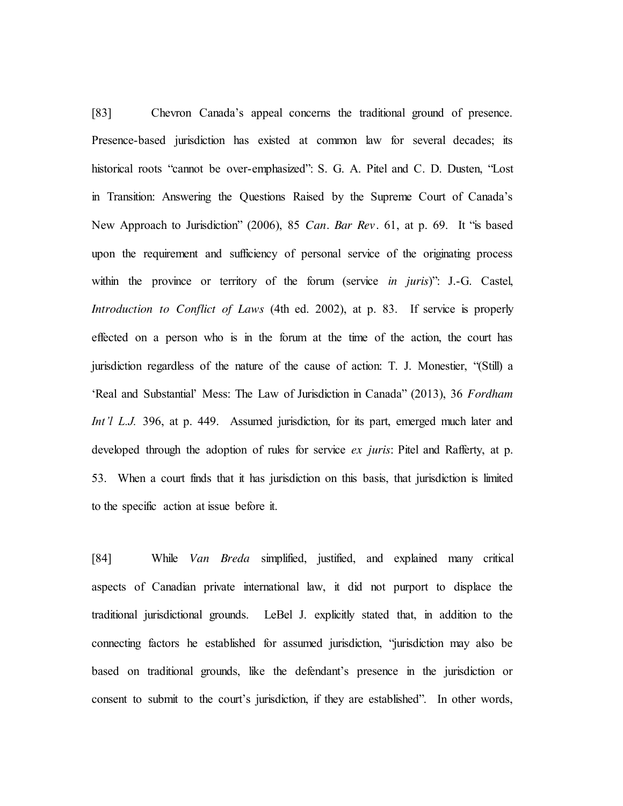[83] Chevron Canada's appeal concerns the traditional ground of presence. Presence-based jurisdiction has existed at common law for several decades; its historical roots "cannot be over-emphasized": S. G. A. Pitel and C. D. Dusten, "Lost in Transition: Answering the Questions Raised by the Supreme Court of Canada's New Approach to Jurisdiction" (2006), 85 *Can. Bar Rev.* 61, at p. 69. It "is based upon the requirement and sufficiency of personal service of the originating process within the province or territory of the forum (service *in juris*)": J.-G. Castel, *Introduction to Conflict of Laws* (4th ed. 2002), at p. 83. If service is properly effected on a person who is in the forum at the time of the action, the court has jurisdiction regardless of the nature of the cause of action: T. J. Monestier, "(Still) a 'Real and Substantial' Mess: The Law of Jurisdiction in Canada" (2013), 36 *Fordham Int'l L.J.* 396, at p. 449. Assumed jurisdiction, for its part, emerged much later and developed through the adoption of rules for service *ex juris*: Pitel and Rafferty, at p. 53. When a court finds that it has jurisdiction on this basis, that jurisdiction is limited to the specific action at issue before it.

[84] While *Van Breda* simplified, justified, and explained many critical aspects of Canadian private international law, it did not purport to displace the traditional jurisdictional grounds. LeBel J. explicitly stated that, in addition to the connecting factors he established for assumed jurisdiction, "jurisdiction may also be based on traditional grounds, like the defendant's presence in the jurisdiction or consent to submit to the court's jurisdiction, if they are established". In other words,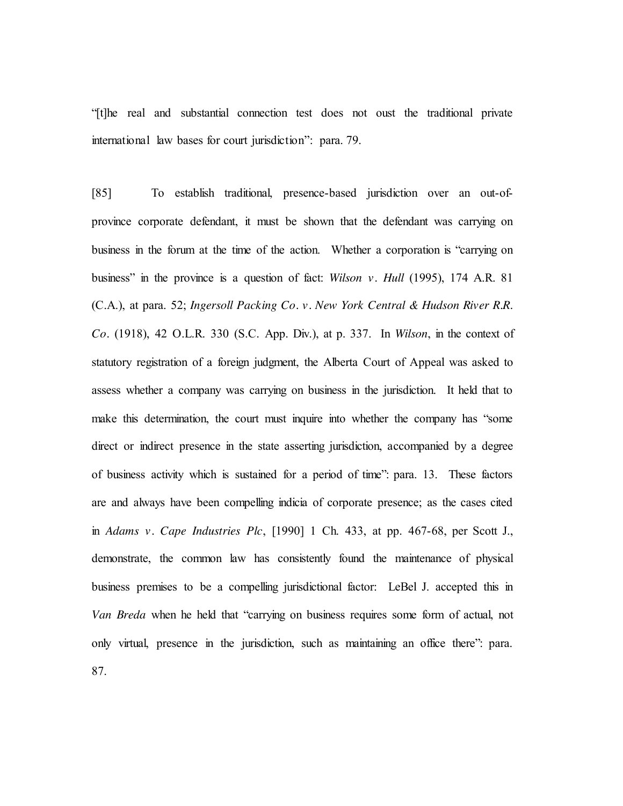"[t]he real and substantial connection test does not oust the traditional private international law bases for court jurisdiction": para. 79.

[85] To establish traditional, presence-based jurisdiction over an out-ofprovince corporate defendant, it must be shown that the defendant was carrying on business in the forum at the time of the action. Whether a corporation is "carrying on business" in the province is a question of fact: *Wilson v. Hull* (1995), 174 A.R. 81 (C.A.), at para. 52; *Ingersoll Packing Co. v. New York Central & Hudson River R.R. Co.* (1918), 42 O.L.R. 330 (S.C. App. Div.), at p. 337. In *Wilson*, in the context of statutory registration of a foreign judgment, the Alberta Court of Appeal was asked to assess whether a company was carrying on business in the jurisdiction. It held that to make this determination, the court must inquire into whether the company has "some direct or indirect presence in the state asserting jurisdiction, accompanied by a degree of business activity which is sustained for a period of time": para. 13. These factors are and always have been compelling indicia of corporate presence; as the cases cited in *Adams v. Cape Industries Plc*, [1990] 1 Ch. 433, at pp. 467-68, per Scott J., demonstrate, the common law has consistently found the maintenance of physical business premises to be a compelling jurisdictional factor: LeBel J. accepted this in *Van Breda* when he held that "carrying on business requires some form of actual, not only virtual, presence in the jurisdiction, such as maintaining an office there": para. 87.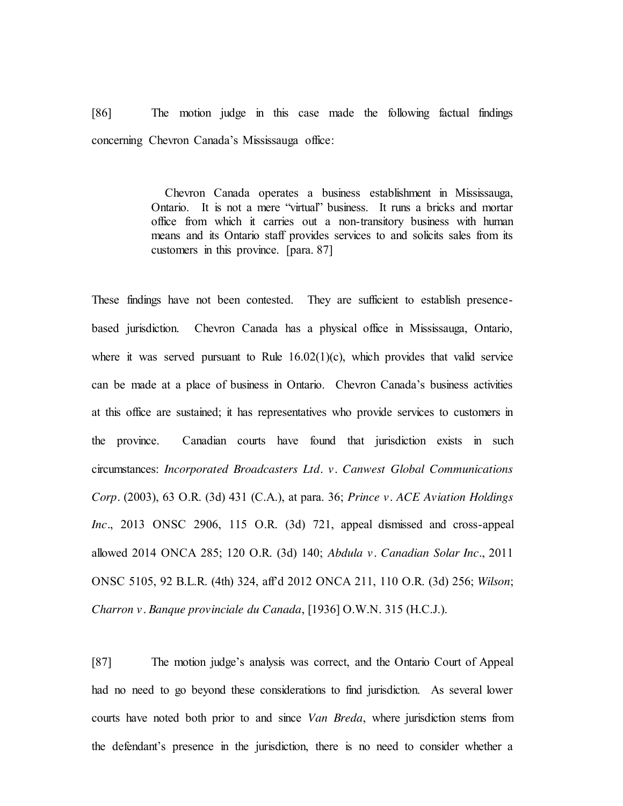[86] The motion judge in this case made the following factual findings concerning Chevron Canada's Mississauga office:

> Chevron Canada operates a business establishment in Mississauga, Ontario. It is not a mere "virtual" business. It runs a bricks and mortar office from which it carries out a non-transitory business with human means and its Ontario staff provides services to and solicits sales from its customers in this province. [para. 87]

These findings have not been contested. They are sufficient to establish presencebased jurisdiction. Chevron Canada has a physical office in Mississauga, Ontario, where it was served pursuant to Rule  $16.02(1)(c)$ , which provides that valid service can be made at a place of business in Ontario. Chevron Canada's business activities at this office are sustained; it has representatives who provide services to customers in the province. Canadian courts have found that jurisdiction exists in such circumstances: *Incorporated Broadcasters Ltd. v. Canwest Global Communications Corp.* (2003), 63 O.R. (3d) 431 (C.A.), at para. 36; *Prince v. ACE Aviation Holdings Inc.*, 2013 ONSC 2906, 115 O.R. (3d) 721, appeal dismissed and cross-appeal allowed 2014 ONCA 285; 120 O.R. (3d) 140; *Abdula v. Canadian Solar Inc.*, 2011 ONSC 5105, 92 B.L.R. (4th) 324, aff'd 2012 ONCA 211, 110 O.R. (3d) 256; *Wilson*; *Charron v. Banque provinciale du Canada*, [1936] O.W.N. 315 (H.C.J.).

[87] The motion judge's analysis was correct, and the Ontario Court of Appeal had no need to go beyond these considerations to find jurisdiction. As several lower courts have noted both prior to and since *Van Breda*, where jurisdiction stems from the defendant's presence in the jurisdiction, there is no need to consider whether a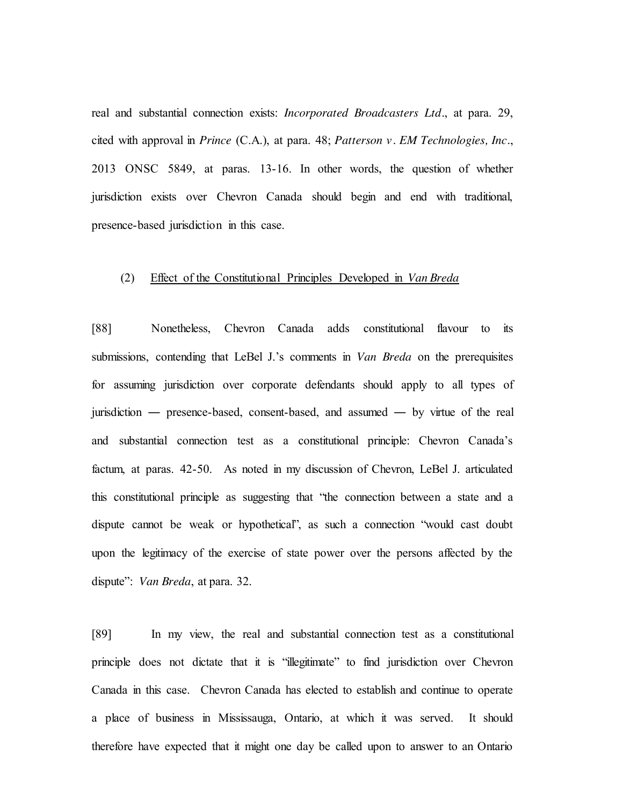real and substantial connection exists: *Incorporated Broadcasters Ltd.*, at para. 29, cited with approval in *Prince* (C.A.), at para. 48; *Patterson v. EM Technologies, Inc.*, 2013 ONSC 5849, at paras. 13-16. In other words, the question of whether jurisdiction exists over Chevron Canada should begin and end with traditional, presence-based jurisdiction in this case.

#### (2) Effect of the Constitutional Principles Developed in *Van Breda*

[88] Nonetheless, Chevron Canada adds constitutional flavour to its submissions, contending that LeBel J.'s comments in *Van Breda* on the prerequisites for assuming jurisdiction over corporate defendants should apply to all types of jurisdiction ― presence-based, consent-based, and assumed ― by virtue of the real and substantial connection test as a constitutional principle: Chevron Canada's factum, at paras. 42-50. As noted in my discussion of Chevron, LeBel J. articulated this constitutional principle as suggesting that "the connection between a state and a dispute cannot be weak or hypothetical", as such a connection "would cast doubt upon the legitimacy of the exercise of state power over the persons affected by the dispute": *Van Breda*, at para. 32.

[89] In my view, the real and substantial connection test as a constitutional principle does not dictate that it is "illegitimate" to find jurisdiction over Chevron Canada in this case. Chevron Canada has elected to establish and continue to operate a place of business in Mississauga, Ontario, at which it was served. It should therefore have expected that it might one day be called upon to answer to an Ontario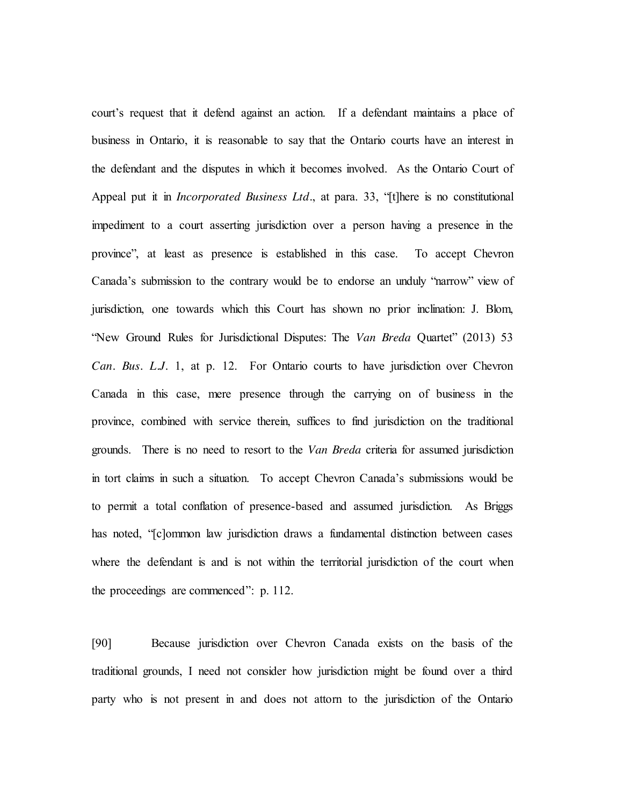court's request that it defend against an action. If a defendant maintains a place of business in Ontario, it is reasonable to say that the Ontario courts have an interest in the defendant and the disputes in which it becomes involved. As the Ontario Court of Appeal put it in *Incorporated Business Ltd.*, at para. 33, "[t]here is no constitutional impediment to a court asserting jurisdiction over a person having a presence in the province", at least as presence is established in this case. To accept Chevron Canada's submission to the contrary would be to endorse an unduly "narrow" view of jurisdiction, one towards which this Court has shown no prior inclination: J. Blom, "New Ground Rules for Jurisdictional Disputes: The *Van Breda* Quartet" (2013) 53 *Can. Bus. L.J.* 1, at p. 12. For Ontario courts to have jurisdiction over Chevron Canada in this case, mere presence through the carrying on of business in the province, combined with service therein, suffices to find jurisdiction on the traditional grounds. There is no need to resort to the *Van Breda* criteria for assumed jurisdiction in tort claims in such a situation. To accept Chevron Canada's submissions would be to permit a total conflation of presence-based and assumed jurisdiction. As Briggs has noted, "[c]ommon law jurisdiction draws a fundamental distinction between cases where the defendant is and is not within the territorial jurisdiction of the court when the proceedings are commenced": p. 112.

[90] Because jurisdiction over Chevron Canada exists on the basis of the traditional grounds, I need not consider how jurisdiction might be found over a third party who is not present in and does not attorn to the jurisdiction of the Ontario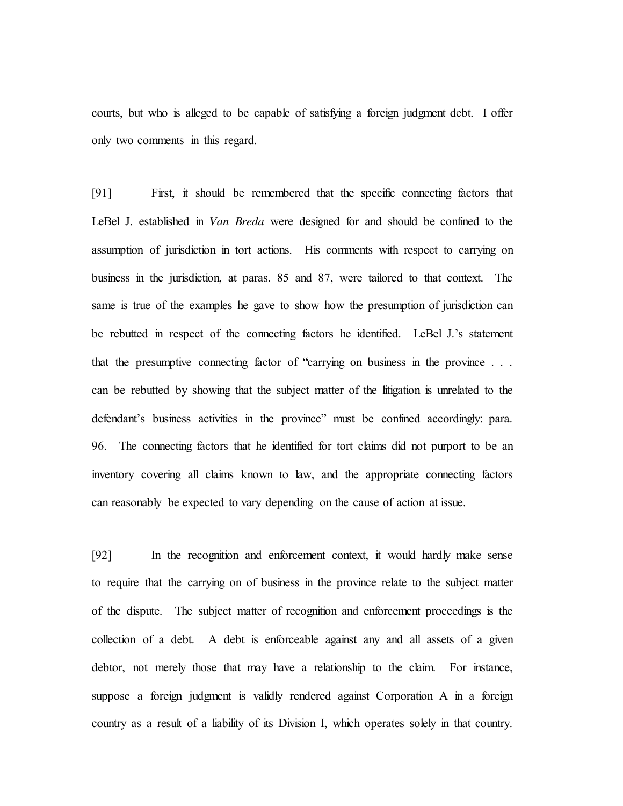courts, but who is alleged to be capable of satisfying a foreign judgment debt. I offer only two comments in this regard.

[91] First, it should be remembered that the specific connecting factors that LeBel J. established in *Van Breda* were designed for and should be confined to the assumption of jurisdiction in tort actions. His comments with respect to carrying on business in the jurisdiction, at paras. 85 and 87, were tailored to that context. The same is true of the examples he gave to show how the presumption of jurisdiction can be rebutted in respect of the connecting factors he identified. LeBel J.'s statement that the presumptive connecting factor of "carrying on business in the province . . . can be rebutted by showing that the subject matter of the litigation is unrelated to the defendant's business activities in the province" must be confined accordingly: para. 96. The connecting factors that he identified for tort claims did not purport to be an inventory covering all claims known to law, and the appropriate connecting factors can reasonably be expected to vary depending on the cause of action at issue.

[92] In the recognition and enforcement context, it would hardly make sense to require that the carrying on of business in the province relate to the subject matter of the dispute. The subject matter of recognition and enforcement proceedings is the collection of a debt. A debt is enforceable against any and all assets of a given debtor, not merely those that may have a relationship to the claim. For instance, suppose a foreign judgment is validly rendered against Corporation A in a foreign country as a result of a liability of its Division I, which operates solely in that country.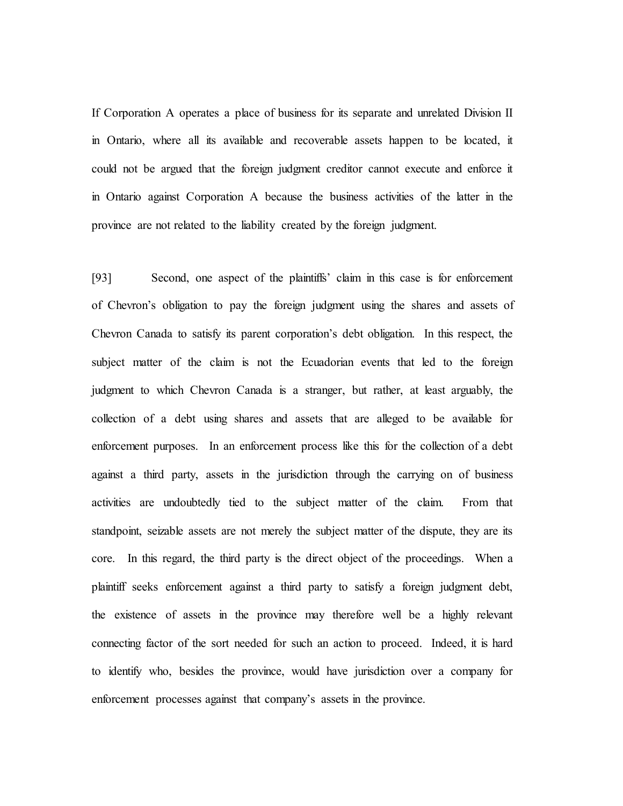If Corporation A operates a place of business for its separate and unrelated Division II in Ontario, where all its available and recoverable assets happen to be located, it could not be argued that the foreign judgment creditor cannot execute and enforce it in Ontario against Corporation A because the business activities of the latter in the province are not related to the liability created by the foreign judgment.

[93] Second, one aspect of the plaintiffs' claim in this case is for enforcement of Chevron's obligation to pay the foreign judgment using the shares and assets of Chevron Canada to satisfy its parent corporation's debt obligation. In this respect, the subject matter of the claim is not the Ecuadorian events that led to the foreign judgment to which Chevron Canada is a stranger, but rather, at least arguably, the collection of a debt using shares and assets that are alleged to be available for enforcement purposes. In an enforcement process like this for the collection of a debt against a third party, assets in the jurisdiction through the carrying on of business activities are undoubtedly tied to the subject matter of the claim. From that standpoint, seizable assets are not merely the subject matter of the dispute, they are its core. In this regard, the third party is the direct object of the proceedings. When a plaintiff seeks enforcement against a third party to satisfy a foreign judgment debt, the existence of assets in the province may therefore well be a highly relevant connecting factor of the sort needed for such an action to proceed. Indeed, it is hard to identify who, besides the province, would have jurisdiction over a company for enforcement processes against that company's assets in the province.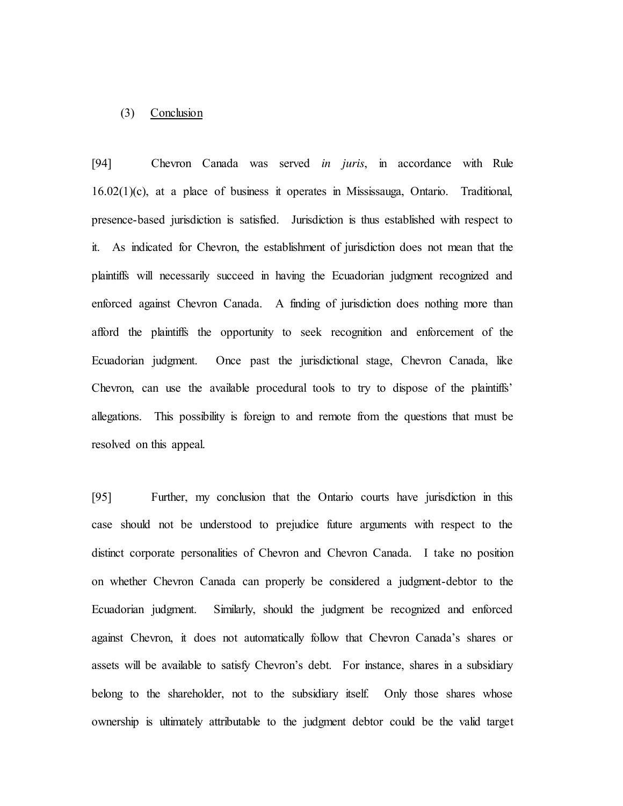### (3) Conclusion

[94] Chevron Canada was served *in juris*, in accordance with Rule 16.02(1)(c), at a place of business it operates in Mississauga, Ontario. Traditional, presence-based jurisdiction is satisfied. Jurisdiction is thus established with respect to it. As indicated for Chevron, the establishment of jurisdiction does not mean that the plaintiffs will necessarily succeed in having the Ecuadorian judgment recognized and enforced against Chevron Canada. A finding of jurisdiction does nothing more than afford the plaintiffs the opportunity to seek recognition and enforcement of the Ecuadorian judgment. Once past the jurisdictional stage, Chevron Canada, like Chevron, can use the available procedural tools to try to dispose of the plaintiffs' allegations. This possibility is foreign to and remote from the questions that must be resolved on this appeal.

[95] Further, my conclusion that the Ontario courts have jurisdiction in this case should not be understood to prejudice future arguments with respect to the distinct corporate personalities of Chevron and Chevron Canada. I take no position on whether Chevron Canada can properly be considered a judgment-debtor to the Ecuadorian judgment. Similarly, should the judgment be recognized and enforced against Chevron, it does not automatically follow that Chevron Canada's shares or assets will be available to satisfy Chevron's debt. For instance, shares in a subsidiary belong to the shareholder, not to the subsidiary itself. Only those shares whose ownership is ultimately attributable to the judgment debtor could be the valid target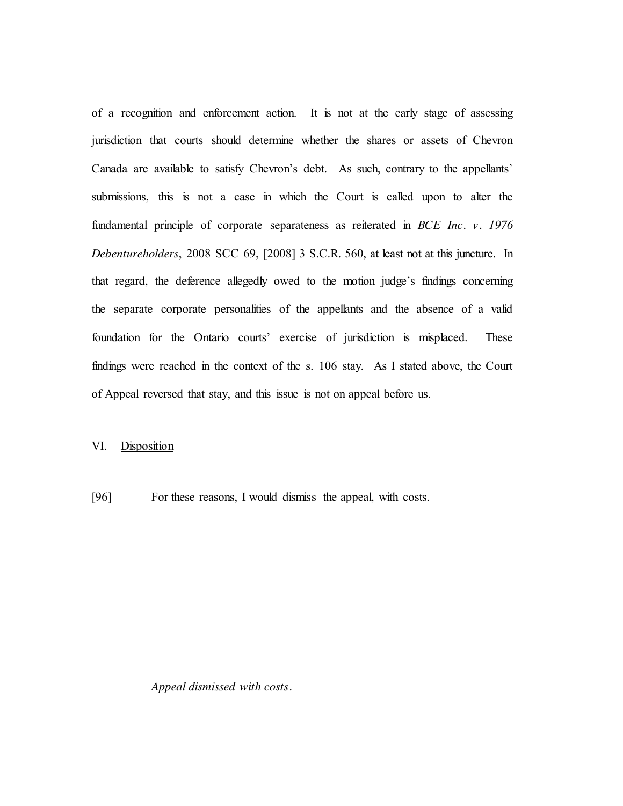of a recognition and enforcement action. It is not at the early stage of assessing jurisdiction that courts should determine whether the shares or assets of Chevron Canada are available to satisfy Chevron's debt. As such, contrary to the appellants' submissions, this is not a case in which the Court is called upon to alter the fundamental principle of corporate separateness as reiterated in *BCE Inc. v. 1976 Debentureholders*, 2008 SCC 69, [2008] 3 S.C.R. 560, at least not at this juncture. In that regard, the deference allegedly owed to the motion judge's findings concerning the separate corporate personalities of the appellants and the absence of a valid foundation for the Ontario courts' exercise of jurisdiction is misplaced. These findings were reached in the context of the s. 106 stay. As I stated above, the Court of Appeal reversed that stay, and this issue is not on appeal before us.

## VI. Disposition

[96] For these reasons, I would dismiss the appeal, with costs.

### *Appeal dismissed with costs.*